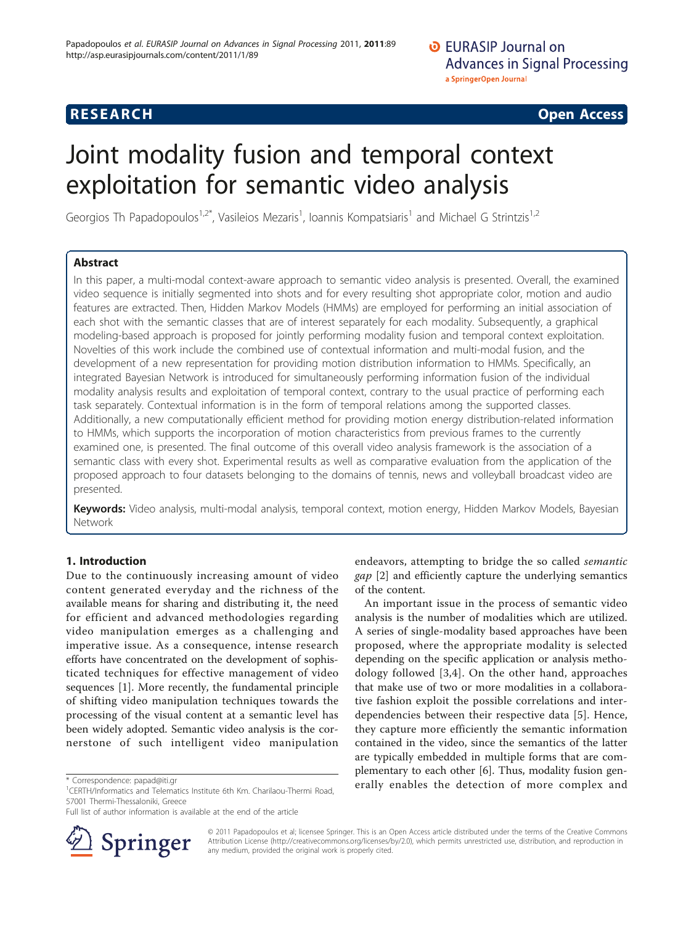## **RESEARCH CONSTRUCTION CONSTRUCTS**

# Joint modality fusion and temporal context exploitation for semantic video analysis

Georgios Th Papadopoulos<sup>1,2\*</sup>, Vasileios Mezaris<sup>1</sup>, Ioannis Kompatsiaris<sup>1</sup> and Michael G Strintzis<sup>1,2</sup>

## Abstract

In this paper, a multi-modal context-aware approach to semantic video analysis is presented. Overall, the examined video sequence is initially segmented into shots and for every resulting shot appropriate color, motion and audio features are extracted. Then, Hidden Markov Models (HMMs) are employed for performing an initial association of each shot with the semantic classes that are of interest separately for each modality. Subsequently, a graphical modeling-based approach is proposed for jointly performing modality fusion and temporal context exploitation. Novelties of this work include the combined use of contextual information and multi-modal fusion, and the development of a new representation for providing motion distribution information to HMMs. Specifically, an integrated Bayesian Network is introduced for simultaneously performing information fusion of the individual modality analysis results and exploitation of temporal context, contrary to the usual practice of performing each task separately. Contextual information is in the form of temporal relations among the supported classes. Additionally, a new computationally efficient method for providing motion energy distribution-related information to HMMs, which supports the incorporation of motion characteristics from previous frames to the currently examined one, is presented. The final outcome of this overall video analysis framework is the association of a semantic class with every shot. Experimental results as well as comparative evaluation from the application of the proposed approach to four datasets belonging to the domains of tennis, news and volleyball broadcast video are presented.

Keywords: Video analysis, multi-modal analysis, temporal context, motion energy, Hidden Markov Models, Bayesian Network

## 1. Introduction

Due to the continuously increasing amount of video content generated everyday and the richness of the available means for sharing and distributing it, the need for efficient and advanced methodologies regarding video manipulation emerges as a challenging and imperative issue. As a consequence, intense research efforts have concentrated on the development of sophisticated techniques for effective management of video sequences [[1\]](#page-19-0). More recently, the fundamental principle of shifting video manipulation techniques towards the processing of the visual content at a semantic level has been widely adopted. Semantic video analysis is the cornerstone of such intelligent video manipulation

Full list of author information is available at the end of the article



endeavors, attempting to bridge the so called semantic gap [[2\]](#page-19-0) and efficiently capture the underlying semantics of the content.

An important issue in the process of semantic video analysis is the number of modalities which are utilized. A series of single-modality based approaches have been proposed, where the appropriate modality is selected depending on the specific application or analysis methodology followed [\[3,4](#page-19-0)]. On the other hand, approaches that make use of two or more modalities in a collaborative fashion exploit the possible correlations and interdependencies between their respective data [[5\]](#page-19-0). Hence, they capture more efficiently the semantic information contained in the video, since the semantics of the latter are typically embedded in multiple forms that are complementary to each other [\[6](#page-19-0)]. Thus, modality fusion gen\* Correspondence: [papad@iti.gr](mailto:papad@iti.gr) enables the detection of more complex and  $\overline{r}$ 

> © 2011 Papadopoulos et al; licensee Springer. This is an Open Access article distributed under the terms of the Creative Commons Attribution License [\(http://creativecommons.org/licenses/by/2.0](http://creativecommons.org/licenses/by/2.0)), which permits unrestricted use, distribution, and reproduction in any medium, provided the original work is properly cited.

<sup>&</sup>lt;sup>1</sup>CERTH/Informatics and Telematics Institute 6th Km. Charilaou-Thermi Road, 57001 Thermi-Thessaloniki, Greece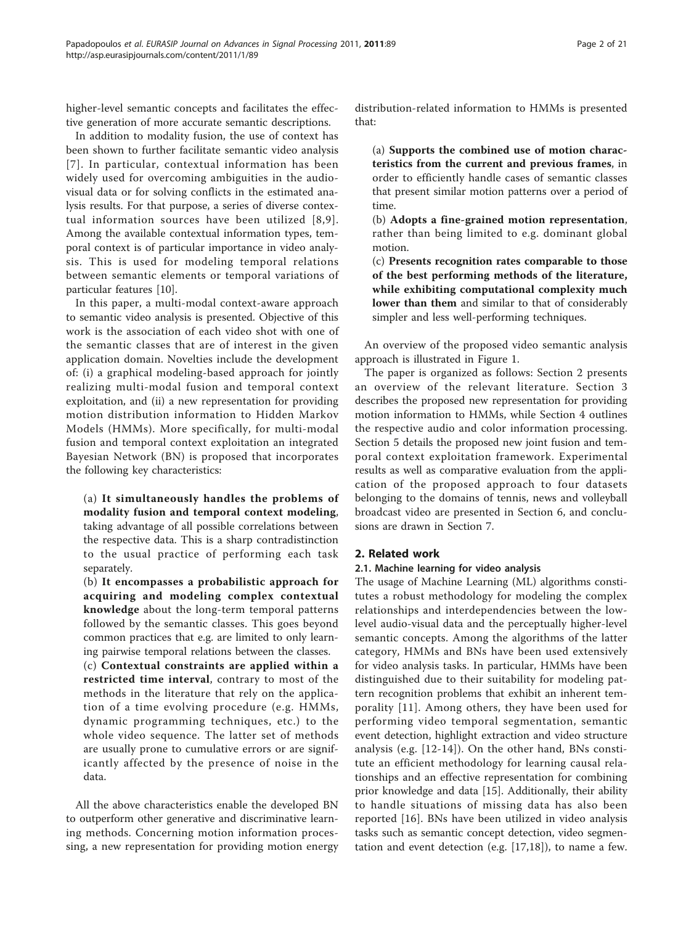higher-level semantic concepts and facilitates the effective generation of more accurate semantic descriptions.

In addition to modality fusion, the use of context has been shown to further facilitate semantic video analysis [[7\]](#page-19-0). In particular, contextual information has been widely used for overcoming ambiguities in the audiovisual data or for solving conflicts in the estimated analysis results. For that purpose, a series of diverse contextual information sources have been utilized [[8,9\]](#page-19-0). Among the available contextual information types, temporal context is of particular importance in video analysis. This is used for modeling temporal relations between semantic elements or temporal variations of particular features [\[10](#page-19-0)].

In this paper, a multi-modal context-aware approach to semantic video analysis is presented. Objective of this work is the association of each video shot with one of the semantic classes that are of interest in the given application domain. Novelties include the development of: (i) a graphical modeling-based approach for jointly realizing multi-modal fusion and temporal context exploitation, and (ii) a new representation for providing motion distribution information to Hidden Markov Models (HMMs). More specifically, for multi-modal fusion and temporal context exploitation an integrated Bayesian Network (BN) is proposed that incorporates the following key characteristics:

(a) It simultaneously handles the problems of modality fusion and temporal context modeling, taking advantage of all possible correlations between the respective data. This is a sharp contradistinction to the usual practice of performing each task separately.

(b) It encompasses a probabilistic approach for acquiring and modeling complex contextual knowledge about the long-term temporal patterns followed by the semantic classes. This goes beyond common practices that e.g. are limited to only learning pairwise temporal relations between the classes.

(c) Contextual constraints are applied within a restricted time interval, contrary to most of the methods in the literature that rely on the application of a time evolving procedure (e.g. HMMs, dynamic programming techniques, etc.) to the whole video sequence. The latter set of methods are usually prone to cumulative errors or are significantly affected by the presence of noise in the data.

All the above characteristics enable the developed BN to outperform other generative and discriminative learning methods. Concerning motion information processing, a new representation for providing motion energy distribution-related information to HMMs is presented that:

(a) Supports the combined use of motion characteristics from the current and previous frames, in order to efficiently handle cases of semantic classes that present similar motion patterns over a period of time

(b) Adopts a fine-grained motion representation, rather than being limited to e.g. dominant global motion.

(c) Presents recognition rates comparable to those of the best performing methods of the literature, while exhibiting computational complexity much lower than them and similar to that of considerably simpler and less well-performing techniques.

An overview of the proposed video semantic analysis approach is illustrated in Figure [1.](#page-2-0)

The paper is organized as follows: Section 2 presents an overview of the relevant literature. Section 3 describes the proposed new representation for providing motion information to HMMs, while Section 4 outlines the respective audio and color information processing. Section 5 details the proposed new joint fusion and temporal context exploitation framework. Experimental results as well as comparative evaluation from the application of the proposed approach to four datasets belonging to the domains of tennis, news and volleyball broadcast video are presented in Section 6, and conclusions are drawn in Section 7.

#### 2. Related work

#### 2.1. Machine learning for video analysis

The usage of Machine Learning (ML) algorithms constitutes a robust methodology for modeling the complex relationships and interdependencies between the lowlevel audio-visual data and the perceptually higher-level semantic concepts. Among the algorithms of the latter category, HMMs and BNs have been used extensively for video analysis tasks. In particular, HMMs have been distinguished due to their suitability for modeling pattern recognition problems that exhibit an inherent temporality [[11\]](#page-19-0). Among others, they have been used for performing video temporal segmentation, semantic event detection, highlight extraction and video structure analysis (e.g. [[12](#page-19-0)-[14](#page-19-0)]). On the other hand, BNs constitute an efficient methodology for learning causal relationships and an effective representation for combining prior knowledge and data [\[15](#page-19-0)]. Additionally, their ability to handle situations of missing data has also been reported [[16\]](#page-19-0). BNs have been utilized in video analysis tasks such as semantic concept detection, video segmentation and event detection (e.g. [[17,18](#page-19-0)]), to name a few.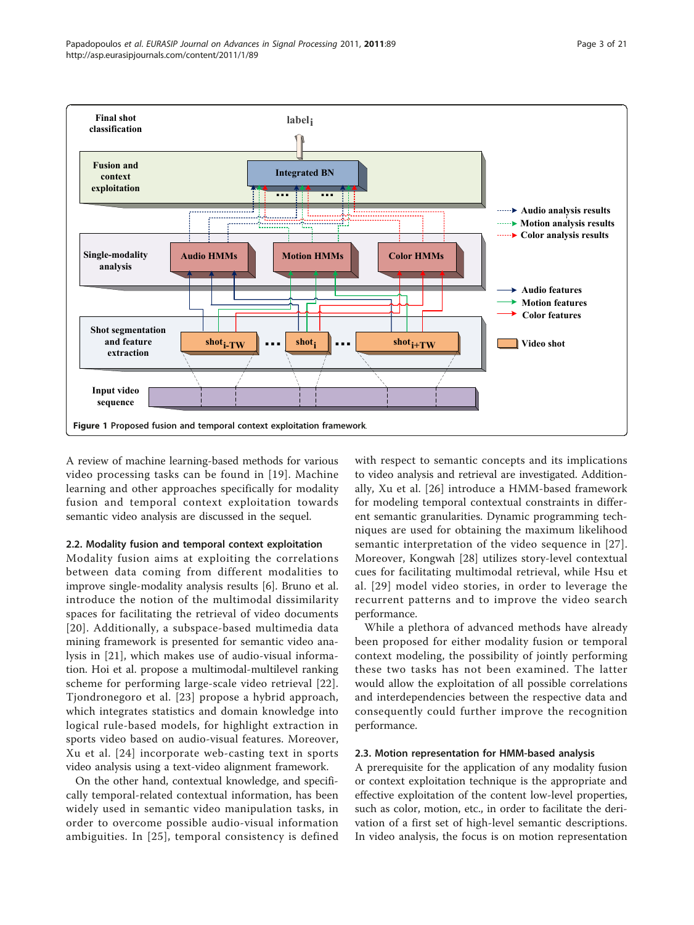<span id="page-2-0"></span>

A review of machine learning-based methods for various video processing tasks can be found in [[19](#page-19-0)]. Machine learning and other approaches specifically for modality fusion and temporal context exploitation towards semantic video analysis are discussed in the sequel.

#### 2.2. Modality fusion and temporal context exploitation

Modality fusion aims at exploiting the correlations between data coming from different modalities to improve single-modality analysis results [\[6\]](#page-19-0). Bruno et al. introduce the notion of the multimodal dissimilarity spaces for facilitating the retrieval of video documents [[20\]](#page-19-0). Additionally, a subspace-based multimedia data mining framework is presented for semantic video analysis in [[21](#page-19-0)], which makes use of audio-visual information. Hoi et al. propose a multimodal-multilevel ranking scheme for performing large-scale video retrieval [[22\]](#page-19-0). Tjondronegoro et al. [[23](#page-20-0)] propose a hybrid approach, which integrates statistics and domain knowledge into logical rule-based models, for highlight extraction in sports video based on audio-visual features. Moreover, Xu et al. [[24](#page-20-0)] incorporate web-casting text in sports video analysis using a text-video alignment framework.

On the other hand, contextual knowledge, and specifically temporal-related contextual information, has been widely used in semantic video manipulation tasks, in order to overcome possible audio-visual information ambiguities. In [[25\]](#page-20-0), temporal consistency is defined

with respect to semantic concepts and its implications to video analysis and retrieval are investigated. Additionally, Xu et al. [[26](#page-20-0)] introduce a HMM-based framework for modeling temporal contextual constraints in different semantic granularities. Dynamic programming techniques are used for obtaining the maximum likelihood semantic interpretation of the video sequence in [[27](#page-20-0)]. Moreover, Kongwah [[28\]](#page-20-0) utilizes story-level contextual cues for facilitating multimodal retrieval, while Hsu et al. [[29\]](#page-20-0) model video stories, in order to leverage the recurrent patterns and to improve the video search performance.

While a plethora of advanced methods have already been proposed for either modality fusion or temporal context modeling, the possibility of jointly performing these two tasks has not been examined. The latter would allow the exploitation of all possible correlations and interdependencies between the respective data and consequently could further improve the recognition performance.

#### 2.3. Motion representation for HMM-based analysis

A prerequisite for the application of any modality fusion or context exploitation technique is the appropriate and effective exploitation of the content low-level properties, such as color, motion, etc., in order to facilitate the derivation of a first set of high-level semantic descriptions. In video analysis, the focus is on motion representation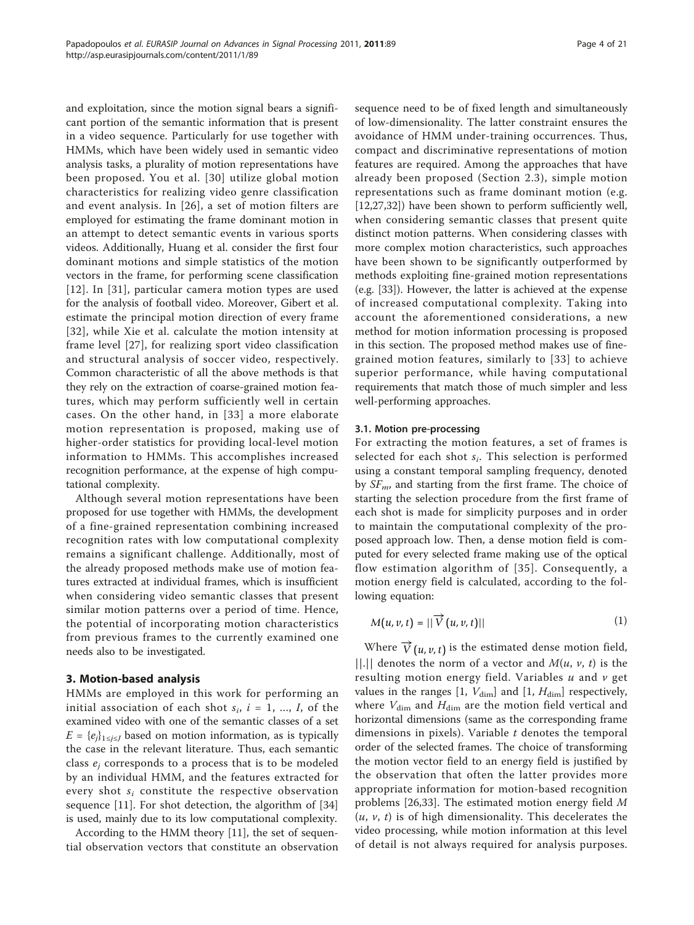and exploitation, since the motion signal bears a significant portion of the semantic information that is present in a video sequence. Particularly for use together with HMMs, which have been widely used in semantic video analysis tasks, a plurality of motion representations have been proposed. You et al. [[30\]](#page-20-0) utilize global motion characteristics for realizing video genre classification and event analysis. In [[26\]](#page-20-0), a set of motion filters are employed for estimating the frame dominant motion in an attempt to detect semantic events in various sports videos. Additionally, Huang et al. consider the first four dominant motions and simple statistics of the motion vectors in the frame, for performing scene classification [[12](#page-19-0)]. In [[31\]](#page-20-0), particular camera motion types are used for the analysis of football video. Moreover, Gibert et al. estimate the principal motion direction of every frame [[32](#page-20-0)], while Xie et al. calculate the motion intensity at frame level [[27\]](#page-20-0), for realizing sport video classification and structural analysis of soccer video, respectively. Common characteristic of all the above methods is that they rely on the extraction of coarse-grained motion features, which may perform sufficiently well in certain cases. On the other hand, in [[33](#page-20-0)] a more elaborate motion representation is proposed, making use of higher-order statistics for providing local-level motion information to HMMs. This accomplishes increased recognition performance, at the expense of high computational complexity.

Although several motion representations have been proposed for use together with HMMs, the development of a fine-grained representation combining increased recognition rates with low computational complexity remains a significant challenge. Additionally, most of the already proposed methods make use of motion features extracted at individual frames, which is insufficient when considering video semantic classes that present similar motion patterns over a period of time. Hence, the potential of incorporating motion characteristics from previous frames to the currently examined one needs also to be investigated.

#### 3. Motion-based analysis

HMMs are employed in this work for performing an initial association of each shot  $s_i$ ,  $i = 1, ..., I$ , of the examined video with one of the semantic classes of a set  $E = \{e_i\}_{1 \leq i \leq I}$  based on motion information, as is typically the case in the relevant literature. Thus, each semantic class  $e_i$  corresponds to a process that is to be modeled by an individual HMM, and the features extracted for every shot  $s_i$  constitute the respective observation sequence [[11](#page-19-0)]. For shot detection, the algorithm of [\[34](#page-20-0)] is used, mainly due to its low computational complexity.

According to the HMM theory [[11](#page-19-0)], the set of sequential observation vectors that constitute an observation sequence need to be of fixed length and simultaneously of low-dimensionality. The latter constraint ensures the avoidance of HMM under-training occurrences. Thus, compact and discriminative representations of motion features are required. Among the approaches that have already been proposed (Section 2.3), simple motion representations such as frame dominant motion (e.g. [[12,](#page-19-0)[27,32](#page-20-0)]) have been shown to perform sufficiently well, when considering semantic classes that present quite distinct motion patterns. When considering classes with more complex motion characteristics, such approaches have been shown to be significantly outperformed by methods exploiting fine-grained motion representations (e.g. [[33](#page-20-0)]). However, the latter is achieved at the expense of increased computational complexity. Taking into account the aforementioned considerations, a new method for motion information processing is proposed in this section. The proposed method makes use of finegrained motion features, similarly to [[33](#page-20-0)] to achieve superior performance, while having computational requirements that match those of much simpler and less well-performing approaches.

#### 3.1. Motion pre-processing

For extracting the motion features, a set of frames is selected for each shot  $s_i$ . This selection is performed using a constant temporal sampling frequency, denoted by  $SF<sub>m</sub>$ , and starting from the first frame. The choice of starting the selection procedure from the first frame of each shot is made for simplicity purposes and in order to maintain the computational complexity of the proposed approach low. Then, a dense motion field is computed for every selected frame making use of the optical flow estimation algorithm of [[35](#page-20-0)]. Consequently, a motion energy field is calculated, according to the following equation:

$$
M(u, v, t) = ||\overrightarrow{V}(u, v, t)|| \qquad (1)
$$

Where  $\vec{V}$  (*u*, *v*, *t*) is the estimated dense motion field, ||.|| denotes the norm of a vector and  $M(u, v, t)$  is the resulting motion energy field. Variables  $u$  and  $v$  get values in the ranges [1,  $V_{\text{dim}}$ ] and [1,  $H_{\text{dim}}$ ] respectively, where  $V_{\text{dim}}$  and  $H_{\text{dim}}$  are the motion field vertical and horizontal dimensions (same as the corresponding frame dimensions in pixels). Variable  $t$  denotes the temporal order of the selected frames. The choice of transforming the motion vector field to an energy field is justified by the observation that often the latter provides more appropriate information for motion-based recognition problems [[26,33](#page-20-0)]. The estimated motion energy field M  $(u, v, t)$  is of high dimensionality. This decelerates the video processing, while motion information at this level of detail is not always required for analysis purposes.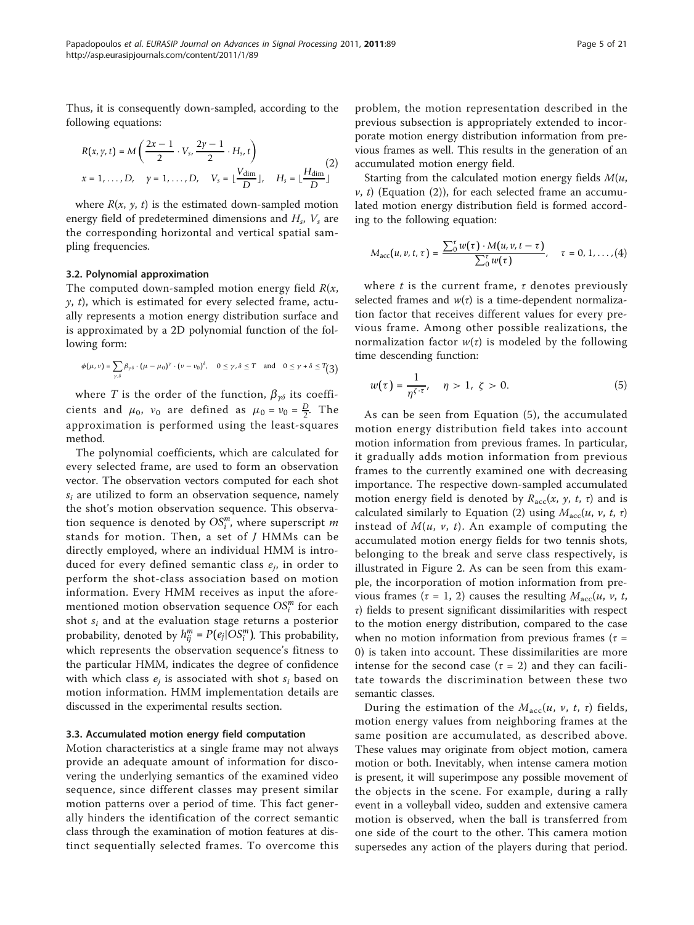Thus, it is consequently down-sampled, according to the following equations:

$$
R(x, y, t) = M\left(\frac{2x - 1}{2} \cdot V_s, \frac{2y - 1}{2} \cdot H_s, t\right)
$$
  
x = 1, ..., D, y = 1, ..., D,  $V_s = \lfloor \frac{V_{\text{dim}}}{D} \rfloor$ ,  $H_s = \lfloor \frac{H_{\text{dim}}}{D} \rfloor$  (2)

where  $R(x, y, t)$  is the estimated down-sampled motion energy field of predetermined dimensions and  $H_s$ ,  $V_s$  are the corresponding horizontal and vertical spatial sampling frequencies.

## 3.2. Polynomial approximation

The computed down-sampled motion energy field  $R(x)$ ,  $y$ ,  $t$ ), which is estimated for every selected frame, actually represents a motion energy distribution surface and is approximated by a 2D polynomial function of the following form:

$$
\phi(\mu, \nu) = \sum_{\gamma, \delta} \beta_{\gamma \delta} \cdot (\mu - \mu_0)^{\gamma} \cdot (\nu - \nu_0)^{\delta}, \quad 0 \le \gamma, \delta \le T \quad \text{and} \quad 0 \le \gamma + \delta \le T(3)
$$

where T is the order of the function,  $\beta_{\gamma\delta}$  its coefficients and  $\mu_0$ ,  $v_0$  are defined as  $\mu_0 = v_0 = \frac{D}{2}$ . The approximation is performed using the least-squares method.

The polynomial coefficients, which are calculated for every selected frame, are used to form an observation vector. The observation vectors computed for each shot  $s_i$  are utilized to form an observation sequence, namely the shot's motion observation sequence. This observation sequence is denoted by  $OS_i^m$ , where superscript m stands for motion. Then, a set of J HMMs can be directly employed, where an individual HMM is introduced for every defined semantic class  $e_i$ , in order to perform the shot-class association based on motion information. Every HMM receives as input the aforementioned motion observation sequence  $OS_i^m$  for each shot  $s_i$  and at the evaluation stage returns a posterior probability, denoted by  $h_{ij}^m = P(e_j|OS_i^m)$ . This probability, which represents the observation sequence's fitness to the particular HMM, indicates the degree of confidence with which class  $e_i$  is associated with shot  $s_i$  based on motion information. HMM implementation details are discussed in the experimental results section.

#### 3.3. Accumulated motion energy field computation

Motion characteristics at a single frame may not always provide an adequate amount of information for discovering the underlying semantics of the examined video sequence, since different classes may present similar motion patterns over a period of time. This fact generally hinders the identification of the correct semantic class through the examination of motion features at distinct sequentially selected frames. To overcome this

problem, the motion representation described in the previous subsection is appropriately extended to incorporate motion energy distribution information from previous frames as well. This results in the generation of an accumulated motion energy field.

Starting from the calculated motion energy fields  $M(u,$  $v, t$ ) (Equation (2)), for each selected frame an accumulated motion energy distribution field is formed according to the following equation:

$$
M_{\text{acc}}(u, v, t, \tau) = \frac{\sum_{0}^{\tau} w(\tau) \cdot M(u, v, t - \tau)}{\sum_{0}^{\tau} w(\tau)}, \quad \tau = 0, 1, \ldots, (4)
$$

where t is the current frame,  $\tau$  denotes previously selected frames and  $w(\tau)$  is a time-dependent normalization factor that receives different values for every previous frame. Among other possible realizations, the normalization factor  $w(\tau)$  is modeled by the following time descending function:

$$
w(\tau) = \frac{1}{\eta^{\zeta \cdot \tau}}, \quad \eta > 1, \ \zeta > 0. \tag{5}
$$

As can be seen from Equation (5), the accumulated motion energy distribution field takes into account motion information from previous frames. In particular, it gradually adds motion information from previous frames to the currently examined one with decreasing importance. The respective down-sampled accumulated motion energy field is denoted by  $R_{\text{acc}}(x, y, t, \tau)$  and is calculated similarly to Equation (2) using  $M_{\text{acc}}(u, v, t, \tau)$ instead of  $M(u, v, t)$ . An example of computing the accumulated motion energy fields for two tennis shots, belonging to the break and serve class respectively, is illustrated in Figure [2](#page-5-0). As can be seen from this example, the incorporation of motion information from previous frames ( $\tau = 1$ , 2) causes the resulting  $M_{\text{acc}}(u, v, t, \tau)$  $\tau$ ) fields to present significant dissimilarities with respect to the motion energy distribution, compared to the case when no motion information from previous frames ( $\tau$  = 0) is taken into account. These dissimilarities are more intense for the second case ( $\tau = 2$ ) and they can facilitate towards the discrimination between these two semantic classes.

During the estimation of the  $M_{\text{acc}}(u, v, t, \tau)$  fields, motion energy values from neighboring frames at the same position are accumulated, as described above. These values may originate from object motion, camera motion or both. Inevitably, when intense camera motion is present, it will superimpose any possible movement of the objects in the scene. For example, during a rally event in a volleyball video, sudden and extensive camera motion is observed, when the ball is transferred from one side of the court to the other. This camera motion supersedes any action of the players during that period.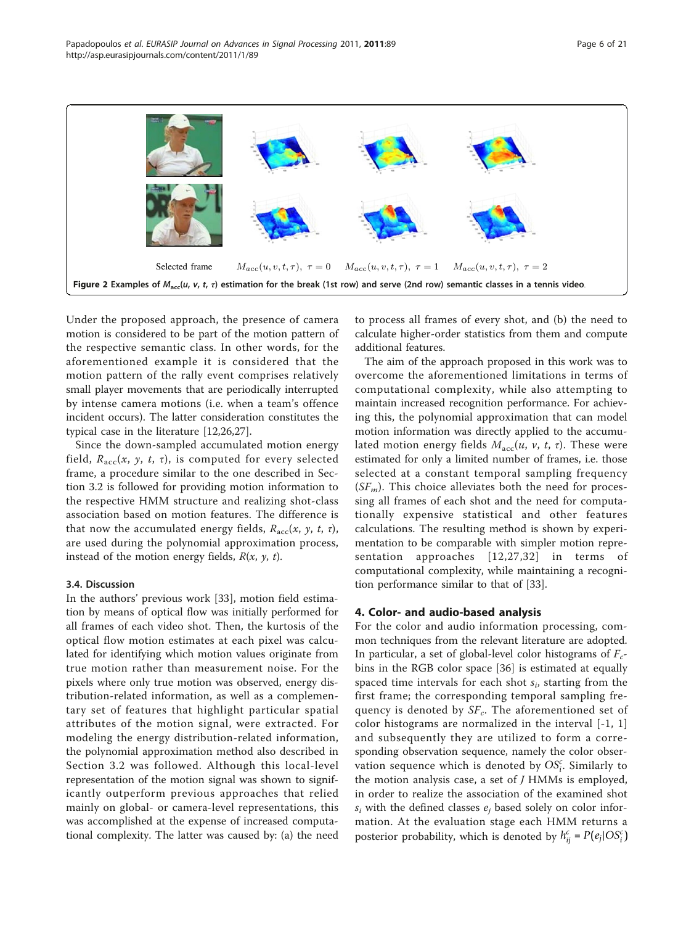<span id="page-5-0"></span>

Under the proposed approach, the presence of camera motion is considered to be part of the motion pattern of the respective semantic class. In other words, for the aforementioned example it is considered that the motion pattern of the rally event comprises relatively small player movements that are periodically interrupted by intense camera motions (i.e. when a team's offence incident occurs). The latter consideration constitutes the typical case in the literature [\[12](#page-19-0)[,26,27\]](#page-20-0).

Since the down-sampled accumulated motion energy field,  $R_{\text{acc}}(x, y, t, \tau)$ , is computed for every selected frame, a procedure similar to the one described in Section 3.2 is followed for providing motion information to the respective HMM structure and realizing shot-class association based on motion features. The difference is that now the accumulated energy fields,  $R_{\text{acc}}(x, y, t, \tau)$ , are used during the polynomial approximation process, instead of the motion energy fields,  $R(x, y, t)$ .

#### 3.4. Discussion

In the authors' previous work [\[33](#page-20-0)], motion field estimation by means of optical flow was initially performed for all frames of each video shot. Then, the kurtosis of the optical flow motion estimates at each pixel was calculated for identifying which motion values originate from true motion rather than measurement noise. For the pixels where only true motion was observed, energy distribution-related information, as well as a complementary set of features that highlight particular spatial attributes of the motion signal, were extracted. For modeling the energy distribution-related information, the polynomial approximation method also described in Section 3.2 was followed. Although this local-level representation of the motion signal was shown to significantly outperform previous approaches that relied mainly on global- or camera-level representations, this was accomplished at the expense of increased computational complexity. The latter was caused by: (a) the need

to process all frames of every shot, and (b) the need to calculate higher-order statistics from them and compute additional features.

The aim of the approach proposed in this work was to overcome the aforementioned limitations in terms of computational complexity, while also attempting to maintain increased recognition performance. For achieving this, the polynomial approximation that can model motion information was directly applied to the accumulated motion energy fields  $M_{\text{acc}}(u, v, t, \tau)$ . These were estimated for only a limited number of frames, i.e. those selected at a constant temporal sampling frequency  $(SF_m)$ . This choice alleviates both the need for processing all frames of each shot and the need for computationally expensive statistical and other features calculations. The resulting method is shown by experimentation to be comparable with simpler motion representation approaches [[12](#page-19-0),[27](#page-20-0),[32\]](#page-20-0) in terms of computational complexity, while maintaining a recognition performance similar to that of [[33](#page-20-0)].

#### 4. Color- and audio-based analysis

For the color and audio information processing, common techniques from the relevant literature are adopted. In particular, a set of global-level color histograms of  $F_c$ bins in the RGB color space [[36\]](#page-20-0) is estimated at equally spaced time intervals for each shot  $s_i$ , starting from the first frame; the corresponding temporal sampling frequency is denoted by  $SF_c$ . The aforementioned set of color histograms are normalized in the interval [-1, 1] and subsequently they are utilized to form a corresponding observation sequence, namely the color observation sequence which is denoted by  $OS_i^c$ . Similarly to the motion analysis case, a set of J HMMs is employed, in order to realize the association of the examined shot  $s_i$  with the defined classes  $e_i$  based solely on color information. At the evaluation stage each HMM returns a posterior probability, which is denoted by  $h_{ij}^c = P(e_j|OS_i^c)$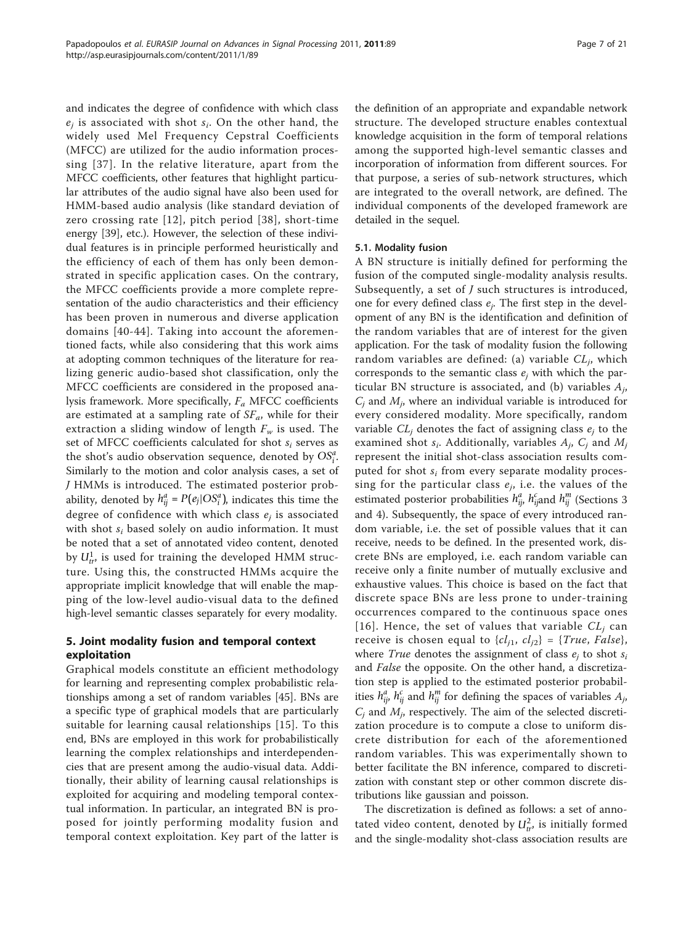and indicates the degree of confidence with which class  $e_i$  is associated with shot  $s_i$ . On the other hand, the widely used Mel Frequency Cepstral Coefficients (MFCC) are utilized for the audio information processing [[37\]](#page-20-0). In the relative literature, apart from the MFCC coefficients, other features that highlight particular attributes of the audio signal have also been used for HMM-based audio analysis (like standard deviation of zero crossing rate [[12\]](#page-19-0), pitch period [[38](#page-20-0)], short-time energy [\[39\]](#page-20-0), etc.). However, the selection of these individual features is in principle performed heuristically and the efficiency of each of them has only been demonstrated in specific application cases. On the contrary, the MFCC coefficients provide a more complete representation of the audio characteristics and their efficiency has been proven in numerous and diverse application domains [[40](#page-20-0)-[44\]](#page-20-0). Taking into account the aforementioned facts, while also considering that this work aims at adopting common techniques of the literature for realizing generic audio-based shot classification, only the MFCC coefficients are considered in the proposed analysis framework. More specifically,  $F_a$  MFCC coefficients are estimated at a sampling rate of  $SF_a$ , while for their extraction a sliding window of length  $F_w$  is used. The set of MFCC coefficients calculated for shot  $s_i$  serves as the shot's audio observation sequence, denoted by *OSa i* . Similarly to the motion and color analysis cases, a set of J HMMs is introduced. The estimated posterior probability, denoted by  $h_{ij}^a = P(e_j|OS_i^a)$ , indicates this time the degree of confidence with which class  $e_i$  is associated with shot  $s_i$  based solely on audio information. It must be noted that a set of annotated video content, denoted by  $U_{tr}^1$ , is used for training the developed HMM structure. Using this, the constructed HMMs acquire the appropriate implicit knowledge that will enable the mapping of the low-level audio-visual data to the defined high-level semantic classes separately for every modality.

## 5. Joint modality fusion and temporal context exploitation

Graphical models constitute an efficient methodology for learning and representing complex probabilistic relationships among a set of random variables [\[45\]](#page-20-0). BNs are a specific type of graphical models that are particularly suitable for learning causal relationships [[15](#page-19-0)]. To this end, BNs are employed in this work for probabilistically learning the complex relationships and interdependencies that are present among the audio-visual data. Additionally, their ability of learning causal relationships is exploited for acquiring and modeling temporal contextual information. In particular, an integrated BN is proposed for jointly performing modality fusion and temporal context exploitation. Key part of the latter is

the definition of an appropriate and expandable network structure. The developed structure enables contextual knowledge acquisition in the form of temporal relations among the supported high-level semantic classes and incorporation of information from different sources. For that purpose, a series of sub-network structures, which are integrated to the overall network, are defined. The individual components of the developed framework are detailed in the sequel.

## 5.1. Modality fusion

A BN structure is initially defined for performing the fusion of the computed single-modality analysis results. Subsequently, a set of J such structures is introduced, one for every defined class  $e_i$ . The first step in the development of any BN is the identification and definition of the random variables that are of interest for the given application. For the task of modality fusion the following random variables are defined: (a) variable  $CL<sub>j</sub>$ , which corresponds to the semantic class  $e_i$  with which the particular BN structure is associated, and (b) variables  $A_i$ ,  $C_i$  and  $M_i$ , where an individual variable is introduced for every considered modality. More specifically, random variable  $CL<sub>j</sub>$  denotes the fact of assigning class  $e<sub>j</sub>$  to the examined shot  $s_i$ . Additionally, variables  $A_i$ ,  $C_i$  and  $M_i$ represent the initial shot-class association results computed for shot  $s_i$  from every separate modality processing for the particular class  $e_j$ , i.e. the values of the estimated posterior probabilities  $h_{ij}^a$ ,  $h_{ij}^c$  and  $h_{ij}^m$  (Sections 3 and 4). Subsequently, the space of every introduced random variable, i.e. the set of possible values that it can receive, needs to be defined. In the presented work, discrete BNs are employed, i.e. each random variable can receive only a finite number of mutually exclusive and exhaustive values. This choice is based on the fact that discrete space BNs are less prone to under-training occurrences compared to the continuous space ones [[16](#page-19-0)]. Hence, the set of values that variable  $CL<sub>j</sub>$  can receive is chosen equal to  ${cl<sub>11</sub>, cl<sub>12</sub>} = {True, False}$ , where True denotes the assignment of class  $e_j$  to shot  $s_i$ and False the opposite. On the other hand, a discretization step is applied to the estimated posterior probabilities  $h_{ij}^a$ ,  $h_{ij}^c$  and  $h_{ij}^m$  for defining the spaces of variables  $A_{j}$ ,  $C_i$  and  $M_i$ , respectively. The aim of the selected discretization procedure is to compute a close to uniform discrete distribution for each of the aforementioned random variables. This was experimentally shown to better facilitate the BN inference, compared to discretization with constant step or other common discrete distributions like gaussian and poisson.

The discretization is defined as follows: a set of annotated video content, denoted by  $U_{tr}^2$ , is initially formed and the single-modality shot-class association results are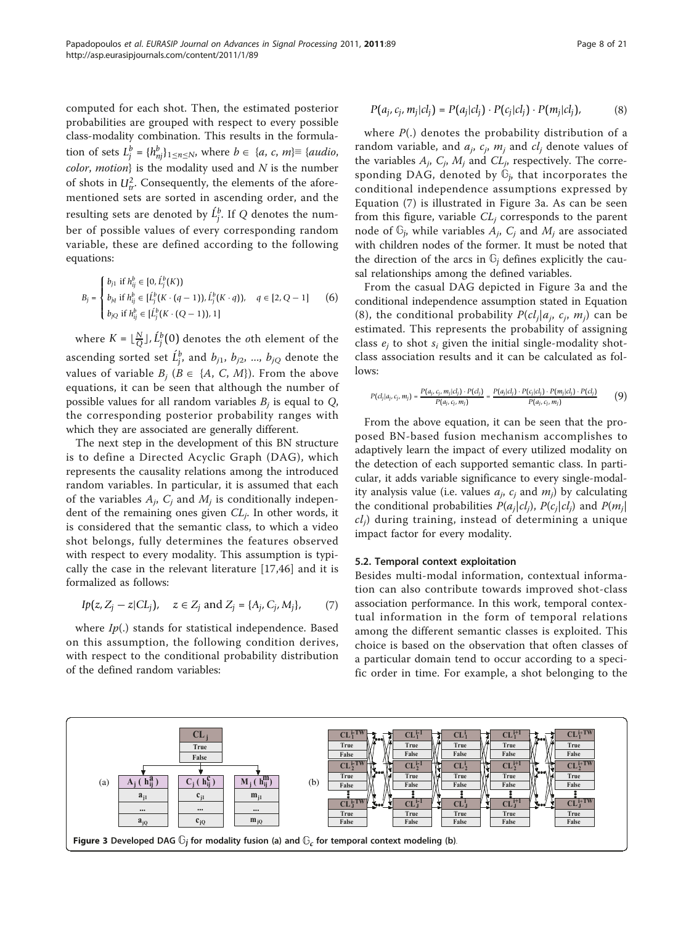<span id="page-7-0"></span>computed for each shot. Then, the estimated posterior probabilities are grouped with respect to every possible class-modality combination. This results in the formulation of sets  $L_j^b = \{h_{nj}^b\}_{1 \leq n \leq N}$ , where  $b \in \{a, c, m\}$  = {audio, color, motion} is the modality used and  $N$  is the number of shots in  $U_{tr}^2$ . Consequently, the elements of the aforementioned sets are sorted in ascending order, and the resulting sets are denoted by  $\acute{L}^b_j$ . If Q denotes the number of possible values of every corresponding random variable, these are defined according to the following equations:

$$
B_j = \begin{cases} b_{j1} & \text{if } h_{ij}^b \in [0, \hat{L}_j^b(K)) \\ b_{jq} & \text{if } h_{ij}^b \in [\hat{L}_j^b(K \cdot (q-1)), \hat{L}_j^b(K \cdot q)), \quad q \in [2, Q-1] \\ b_{jQ} & \text{if } h_{ij}^b \in [\hat{L}_j^b(K \cdot (Q-1)), 1] \end{cases}
$$
 (6)

where  $K = \lfloor \frac{N}{Q} \rfloor$ ,  $\hat{L}^b_j(0)$  denotes the *o*th element of the ascending sorted set  $\hat{L}^b_j$ , and  $b_{j1}$ ,  $b_{j2}$ , ...,  $b_{jQ}$  denote the values of variable  $B_i$  ( $B \in \{A, C, M\}$ ). From the above equations, it can be seen that although the number of possible values for all random variables  $B_i$  is equal to  $Q_i$ , the corresponding posterior probability ranges with which they are associated are generally different.

The next step in the development of this BN structure is to define a Directed Acyclic Graph (DAG), which represents the causality relations among the introduced random variables. In particular, it is assumed that each of the variables  $A_i$ ,  $C_i$  and  $M_i$  is conditionally independent of the remaining ones given  $CL_j$ . In other words, it is considered that the semantic class, to which a video shot belongs, fully determines the features observed with respect to every modality. This assumption is typically the case in the relevant literature [[17](#page-19-0)[,46](#page-20-0)] and it is formalized as follows:

$$
Ip(z, Z_j - z|CL_j), \quad z \in Z_j \text{ and } Z_j = \{A_j, C_j, M_j\}, \tag{7}
$$

where  $Ip(.)$  stands for statistical independence. Based on this assumption, the following condition derives, with respect to the conditional probability distribution of the defined random variables:

$$
P(a_j, c_j, m_j|cl_j) = P(a_j|cl_j) \cdot P(c_j|cl_j) \cdot P(m_j|cl_j), \qquad (8)
$$

where  $P(.)$  denotes the probability distribution of a random variable, and  $a_i$ ,  $c_i$ ,  $m_i$  and  $cl_i$  denote values of the variables  $A_i$ ,  $C_i$ ,  $M_i$  and  $CL_i$ , respectively. The corresponding DAG, denoted by  $\mathbb{G}_i$ , that incorporates the conditional independence assumptions expressed by Equation (7) is illustrated in Figure 3a. As can be seen from this figure, variable  $CL<sub>j</sub>$  corresponds to the parent node of  $\mathbb{G}_j$ , while variables  $A_j$ ,  $C_j$  and  $M_j$  are associated with children nodes of the former. It must be noted that the direction of the arcs in  $\mathbb{G}_i$  defines explicitly the causal relationships among the defined variables.

From the casual DAG depicted in Figure 3a and the conditional independence assumption stated in Equation (8), the conditional probability  $P(cl_j|a_j, c_j, m_j)$  can be estimated. This represents the probability of assigning class  $e_i$  to shot  $s_i$  given the initial single-modality shotclass association results and it can be calculated as follows:

$$
P(cl_j|a_j, c_j, m_j) = \frac{P(a_j, c_j, m_j|cl_j) \cdot P(cl_j)}{P(a_j, c_j, m_j)} = \frac{P(a_j|cl_j) \cdot P(c_j|cl_j) \cdot P(m_j|cl_j) \cdot P(cl_j)}{P(a_j, c_j, m_j)} \tag{9}
$$

From the above equation, it can be seen that the proposed BN-based fusion mechanism accomplishes to adaptively learn the impact of every utilized modality on the detection of each supported semantic class. In particular, it adds variable significance to every single-modality analysis value (i.e. values  $a_i$ ,  $c_i$  and  $m_i$ ) by calculating the conditional probabilities  $P(a_i|cl_i)$ ,  $P(c_i|cl_i)$  and  $P(m_i|cl_i)$  $cl_i$ ) during training, instead of determining a unique impact factor for every modality.

#### 5.2. Temporal context exploitation

Besides multi-modal information, contextual information can also contribute towards improved shot-class association performance. In this work, temporal contextual information in the form of temporal relations among the different semantic classes is exploited. This choice is based on the observation that often classes of a particular domain tend to occur according to a specific order in time. For example, a shot belonging to the

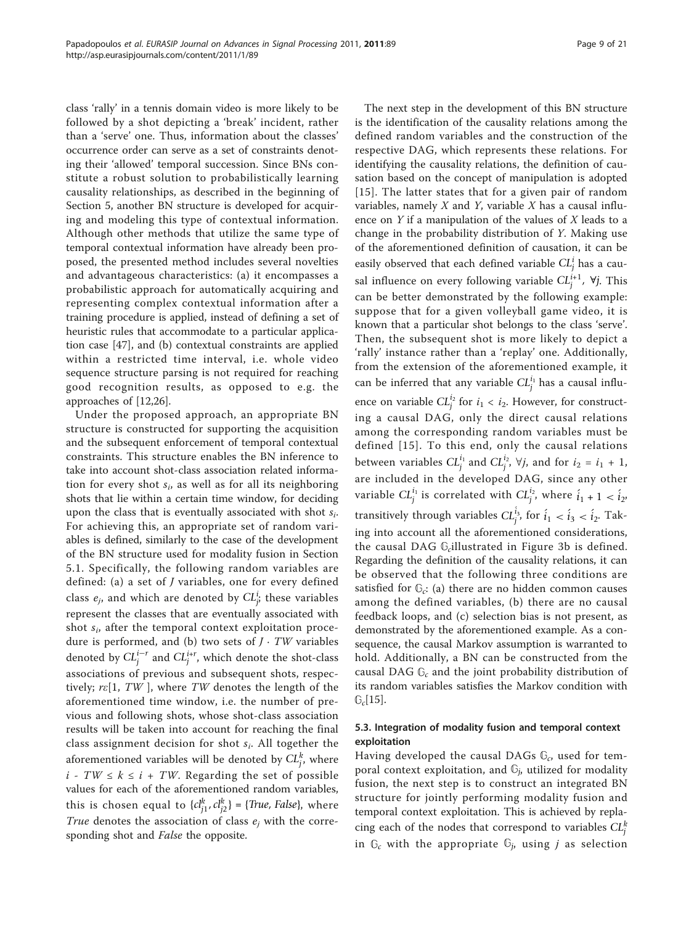class 'rally' in a tennis domain video is more likely to be followed by a shot depicting a 'break' incident, rather than a 'serve' one. Thus, information about the classes' occurrence order can serve as a set of constraints denoting their 'allowed' temporal succession. Since BNs constitute a robust solution to probabilistically learning causality relationships, as described in the beginning of Section 5, another BN structure is developed for acquiring and modeling this type of contextual information. Although other methods that utilize the same type of temporal contextual information have already been proposed, the presented method includes several novelties and advantageous characteristics: (a) it encompasses a probabilistic approach for automatically acquiring and representing complex contextual information after a training procedure is applied, instead of defining a set of heuristic rules that accommodate to a particular application case [[47](#page-20-0)], and (b) contextual constraints are applied within a restricted time interval, i.e. whole video sequence structure parsing is not required for reaching good recognition results, as opposed to e.g. the approaches of [[12,](#page-19-0)[26\]](#page-20-0).

Under the proposed approach, an appropriate BN structure is constructed for supporting the acquisition and the subsequent enforcement of temporal contextual constraints. This structure enables the BN inference to take into account shot-class association related information for every shot  $s_i$ , as well as for all its neighboring shots that lie within a certain time window, for deciding upon the class that is eventually associated with shot  $s_i$ . For achieving this, an appropriate set of random variables is defined, similarly to the case of the development of the BN structure used for modality fusion in Section 5.1. Specifically, the following random variables are defined: (a) a set of J variables, one for every defined class  $e_j$ , and which are denoted by  $CL_j^i$ , these variables represent the classes that are eventually associated with shot  $s_i$ , after the temporal context exploitation procedure is performed, and (b) two sets of  $J \cdot TW$  variables denoted by  $CL_j^{i-r}$  and  $CL_j^{i+r}$ , which denote the shot-class associations of previous and subsequent shots, respectively;  $r\varepsilon$ [1, TW], where TW denotes the length of the aforementioned time window, i.e. the number of previous and following shots, whose shot-class association results will be taken into account for reaching the final class assignment decision for shot  $s_i$ . All together the aforementioned variables will be denoted by  $\mathit{CL}^k_j$  , where  $i$  - TW  $\leq k \leq i + TW$ . Regarding the set of possible values for each of the aforementioned random variables, this is chosen equal to  $\{cl_{j1}^k, cl_{j2}^k\} = \{True, False\},$  where True denotes the association of class  $e_i$  with the corresponding shot and *False* the opposite.

The next step in the development of this BN structure is the identification of the causality relations among the defined random variables and the construction of the respective DAG, which represents these relations. For identifying the causality relations, the definition of causation based on the concept of manipulation is adopted [[15](#page-19-0)]. The latter states that for a given pair of random variables, namely X and Y, variable X has a causal influence on  $Y$  if a manipulation of the values of  $X$  leads to a change in the probability distribution of Y. Making use of the aforementioned definition of causation, it can be easily observed that each defined variable  $CL_j^i$  has a causal influence on every following variable  $CL_j^{i+1}$ ,  $\forall j$ . This can be better demonstrated by the following example: suppose that for a given volleyball game video, it is known that a particular shot belongs to the class 'serve'. Then, the subsequent shot is more likely to depict a 'rally' instance rather than a 'replay' one. Additionally, from the extension of the aforementioned example, it can be inferred that any variable  $CL_j^{i_1}$  has a causal influence on variable  $CL_j^{i_2}$  for  $i_1 < i_2$ . However, for constructing a causal DAG, only the direct causal relations among the corresponding random variables must be defined [[15](#page-19-0)]. To this end, only the causal relations between variables  $CL_j^{i_1}$  and  $CL_j^{i_2}$ ,  $\forall j$ , and for  $i_2 = i_1 + 1$ , are included in the developed DAG, since any other variable  $CL^{i_1}_j$  is correlated with  $CL^{i_2}_j$ , where  $\hat{i}_1 + 1 < \hat{i}_2$ transitively through variables  $CL_j^{i_3}$ , for  $\hat{i}_1 < \hat{i}_3 < \hat{i}_2$ . Taking into account all the aforementioned considerations, the causal DAG **G***c*illustrated in Figure [3b](#page-7-0) is defined. Regarding the definition of the causality relations, it can be observed that the following three conditions are satisfied for  $\mathbb{G}_c$ : (a) there are no hidden common causes among the defined variables, (b) there are no causal feedback loops, and (c) selection bias is not present, as demonstrated by the aforementioned example. As a consequence, the causal Markov assumption is warranted to hold. Additionally, a BN can be constructed from the causal DAG **G***<sup>c</sup>* and the joint probability distribution of its random variables satisfies the Markov condition with  $\mathbb{G}_c[15]$  $\mathbb{G}_c[15]$  $\mathbb{G}_c[15]$ .

## 5.3. Integration of modality fusion and temporal context exploitation

Having developed the causal DAGs **G***c*, used for temporal context exploitation, and  $\mathbb{G}_i$ , utilized for modality fusion, the next step is to construct an integrated BN structure for jointly performing modality fusion and temporal context exploitation. This is achieved by replacing each of the nodes that correspond to variables  $CL_j^k$ in  $\mathbb{G}_c$  with the appropriate  $\mathbb{G}_p$ , using *j* as selection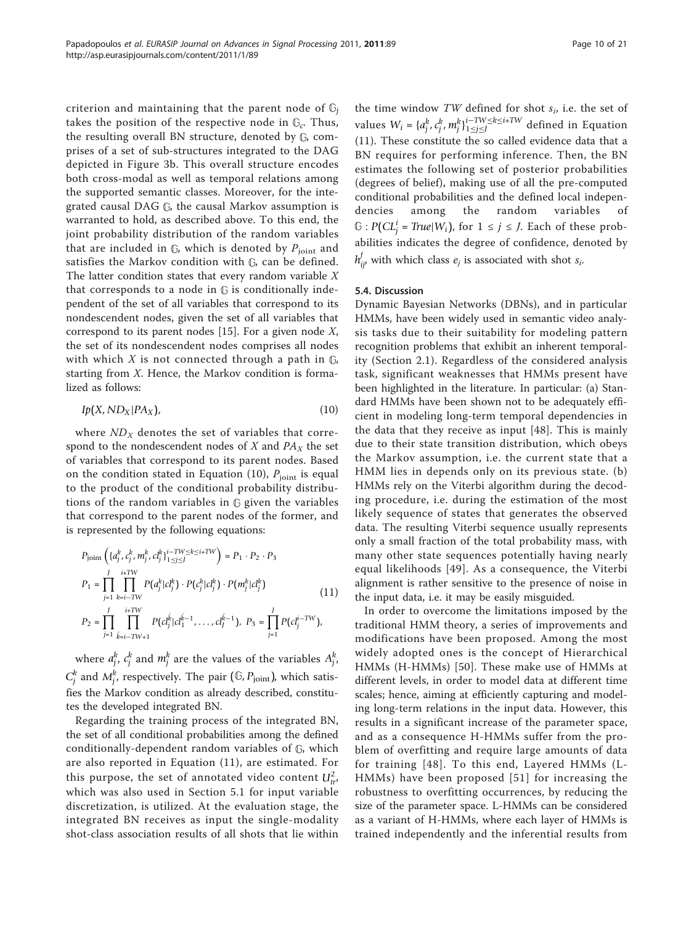criterion and maintaining that the parent node of **G***<sup>j</sup>* takes the position of the respective node in **G***c*. Thus, the resulting overall BN structure, denoted by **G**, comprises of a set of sub-structures integrated to the DAG depicted in Figure [3b](#page-7-0). This overall structure encodes both cross-modal as well as temporal relations among the supported semantic classes. Moreover, for the integrated causal DAG **G**, the causal Markov assumption is warranted to hold, as described above. To this end, the joint probability distribution of the random variables that are included in  $\mathbb{G}$ , which is denoted by  $P_{\text{joint}}$  and satisfies the Markov condition with **G**, can be defined. The latter condition states that every random variable  $X$ that corresponds to a node in **G** is conditionally independent of the set of all variables that correspond to its nondescendent nodes, given the set of all variables that correspond to its parent nodes  $[15]$  $[15]$ . For a given node X, the set of its nondescendent nodes comprises all nodes with which X is not connected through a path in **G**, starting from X. Hence, the Markov condition is formalized as follows:

$$
Ip(X, ND_X|PA_X), \qquad (10)
$$

where  $ND<sub>X</sub>$  denotes the set of variables that correspond to the nondescendent nodes of  $X$  and  $PA_X$  the set of variables that correspond to its parent nodes. Based on the condition stated in Equation (10),  $P_{\text{joint}}$  is equal to the product of the conditional probability distributions of the random variables in **G** given the variables that correspond to the parent nodes of the former, and is represented by the following equations:

$$
P_{\text{joint}}\left(\{a_j^k, c_j^k, m_j^k, c_l^k\}_{1 \leq j \leq I}^{i+TW} \right) = P_1 \cdot P_2 \cdot P_3
$$
\n
$$
P_1 = \prod_{j=1}^{J} \prod_{k=i-TW}^{i+TW} P(a_j^k | c_j^k) \cdot P(c_j^k | c_j^k) \cdot P(m_j^k | c_j^k)
$$
\n
$$
P_2 = \prod_{j=1}^{J} \prod_{k=i-TW}^{i+TW} P(c_j^k | c_l^{k-1}, \dots, c_l^{k-1}), \quad P_3 = \prod_{j=1}^{J} P(c_j^{i-TW}),
$$
\n(11)

where  $a_j^k$ ,  $c_j^k$  and  $m_j^k$  are the values of the variables  $A_j^k$ ,  $C_j^k$  and  $M_j^k$ , respectively. The pair ( $\mathbb{G}$ ,  $P_{\text{joint}}$ ), which satisfies the Markov condition as already described, constitutes the developed integrated BN.

Regarding the training process of the integrated BN, the set of all conditional probabilities among the defined conditionally-dependent random variables of **G**, which are also reported in Equation (11), are estimated. For this purpose, the set of annotated video content  $U_{tr}^2$ , which was also used in Section 5.1 for input variable discretization, is utilized. At the evaluation stage, the integrated BN receives as input the single-modality shot-class association results of all shots that lie within

the time window TW defined for shot  $s_i$ , i.e. the set of values  $W_i = \{a_j^k, c_j^k, m_j^k\}_{1 \leq j \leq J}^{i - TW \leq k \leq i + TW}$  defined in Equation (11). These constitute the so called evidence data that a BN requires for performing inference. Then, the BN estimates the following set of posterior probabilities (degrees of belief), making use of all the pre-computed conditional probabilities and the defined local independencies among the random variables of  $\mathbb{G}$ :  $P(Cl_j^i = True|W_i)$ , for  $1 \le j \le J$ . Each of these probabilities indicates the degree of confidence, denoted by *h f*  $\mathcal{L}_{ij'}$  with which class  $e_j$  is associated with shot  $s_i$ .

#### 5.4. Discussion

Dynamic Bayesian Networks (DBNs), and in particular HMMs, have been widely used in semantic video analysis tasks due to their suitability for modeling pattern recognition problems that exhibit an inherent temporality (Section 2.1). Regardless of the considered analysis task, significant weaknesses that HMMs present have been highlighted in the literature. In particular: (a) Standard HMMs have been shown not to be adequately efficient in modeling long-term temporal dependencies in the data that they receive as input [[48\]](#page-20-0). This is mainly due to their state transition distribution, which obeys the Markov assumption, i.e. the current state that a HMM lies in depends only on its previous state. (b) HMMs rely on the Viterbi algorithm during the decoding procedure, i.e. during the estimation of the most likely sequence of states that generates the observed data. The resulting Viterbi sequence usually represents only a small fraction of the total probability mass, with many other state sequences potentially having nearly equal likelihoods [[49\]](#page-20-0). As a consequence, the Viterbi alignment is rather sensitive to the presence of noise in the input data, i.e. it may be easily misguided.

In order to overcome the limitations imposed by the traditional HMM theory, a series of improvements and modifications have been proposed. Among the most widely adopted ones is the concept of Hierarchical HMMs (H-HMMs) [[50\]](#page-20-0). These make use of HMMs at different levels, in order to model data at different time scales; hence, aiming at efficiently capturing and modeling long-term relations in the input data. However, this results in a significant increase of the parameter space, and as a consequence H-HMMs suffer from the problem of overfitting and require large amounts of data for training [[48\]](#page-20-0). To this end, Layered HMMs (L-HMMs) have been proposed [[51](#page-20-0)] for increasing the robustness to overfitting occurrences, by reducing the size of the parameter space. L-HMMs can be considered as a variant of H-HMMs, where each layer of HMMs is trained independently and the inferential results from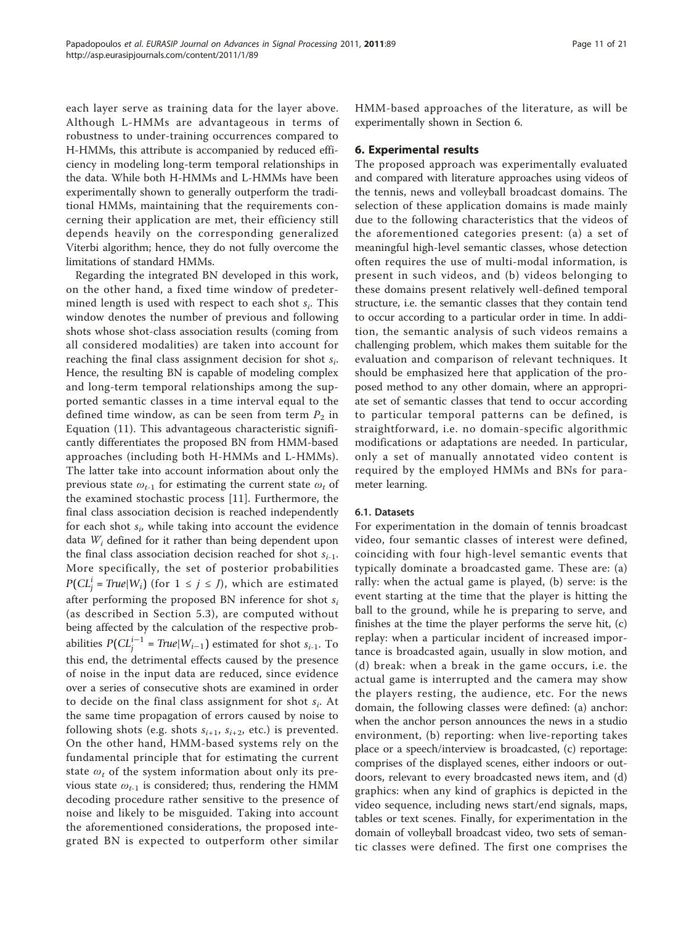each layer serve as training data for the layer above. Although L-HMMs are advantageous in terms of robustness to under-training occurrences compared to H-HMMs, this attribute is accompanied by reduced efficiency in modeling long-term temporal relationships in the data. While both H-HMMs and L-HMMs have been experimentally shown to generally outperform the traditional HMMs, maintaining that the requirements concerning their application are met, their efficiency still depends heavily on the corresponding generalized Viterbi algorithm; hence, they do not fully overcome the limitations of standard HMMs.

Regarding the integrated BN developed in this work, on the other hand, a fixed time window of predetermined length is used with respect to each shot  $s_i$ . This window denotes the number of previous and following shots whose shot-class association results (coming from all considered modalities) are taken into account for reaching the final class assignment decision for shot  $s_i$ . Hence, the resulting BN is capable of modeling complex and long-term temporal relationships among the supported semantic classes in a time interval equal to the defined time window, as can be seen from term  $P_2$  in Equation (11). This advantageous characteristic significantly differentiates the proposed BN from HMM-based approaches (including both H-HMMs and L-HMMs). The latter take into account information about only the previous state  $\omega_{t-1}$  for estimating the current state  $\omega_t$  of the examined stochastic process [[11\]](#page-19-0). Furthermore, the final class association decision is reached independently for each shot  $s_i$ , while taking into account the evidence data  $W_i$  defined for it rather than being dependent upon the final class association decision reached for shot  $s_{i-1}$ . More specifically, the set of posterior probabilities  $P(Cl_j^i = True|W_i)$  (for  $1 \le j \le J$ ), which are estimated after performing the proposed BN inference for shot  $s_i$ (as described in Section 5.3), are computed without being affected by the calculation of the respective probabilities  $P(Cl_j^{i-1} = True|W_{i-1})$  estimated for shot  $s_{i-1}$ . To this end, the detrimental effects caused by the presence of noise in the input data are reduced, since evidence over a series of consecutive shots are examined in order to decide on the final class assignment for shot  $s_i$ . At the same time propagation of errors caused by noise to following shots (e.g. shots  $s_{i+1}$ ,  $s_{i+2}$ , etc.) is prevented. On the other hand, HMM-based systems rely on the fundamental principle that for estimating the current state  $\omega_t$  of the system information about only its previous state  $\omega_{t-1}$  is considered; thus, rendering the HMM decoding procedure rather sensitive to the presence of noise and likely to be misguided. Taking into account the aforementioned considerations, the proposed integrated BN is expected to outperform other similar HMM-based approaches of the literature, as will be experimentally shown in Section 6.

## 6. Experimental results

The proposed approach was experimentally evaluated and compared with literature approaches using videos of the tennis, news and volleyball broadcast domains. The selection of these application domains is made mainly due to the following characteristics that the videos of the aforementioned categories present: (a) a set of meaningful high-level semantic classes, whose detection often requires the use of multi-modal information, is present in such videos, and (b) videos belonging to these domains present relatively well-defined temporal structure, i.e. the semantic classes that they contain tend to occur according to a particular order in time. In addition, the semantic analysis of such videos remains a challenging problem, which makes them suitable for the evaluation and comparison of relevant techniques. It should be emphasized here that application of the proposed method to any other domain, where an appropriate set of semantic classes that tend to occur according to particular temporal patterns can be defined, is straightforward, i.e. no domain-specific algorithmic modifications or adaptations are needed. In particular, only a set of manually annotated video content is required by the employed HMMs and BNs for parameter learning.

#### 6.1. Datasets

For experimentation in the domain of tennis broadcast video, four semantic classes of interest were defined, coinciding with four high-level semantic events that typically dominate a broadcasted game. These are: (a) rally: when the actual game is played, (b) serve: is the event starting at the time that the player is hitting the ball to the ground, while he is preparing to serve, and finishes at the time the player performs the serve hit, (c) replay: when a particular incident of increased importance is broadcasted again, usually in slow motion, and (d) break: when a break in the game occurs, i.e. the actual game is interrupted and the camera may show the players resting, the audience, etc. For the news domain, the following classes were defined: (a) anchor: when the anchor person announces the news in a studio environment, (b) reporting: when live-reporting takes place or a speech/interview is broadcasted, (c) reportage: comprises of the displayed scenes, either indoors or outdoors, relevant to every broadcasted news item, and (d) graphics: when any kind of graphics is depicted in the video sequence, including news start/end signals, maps, tables or text scenes. Finally, for experimentation in the domain of volleyball broadcast video, two sets of semantic classes were defined. The first one comprises the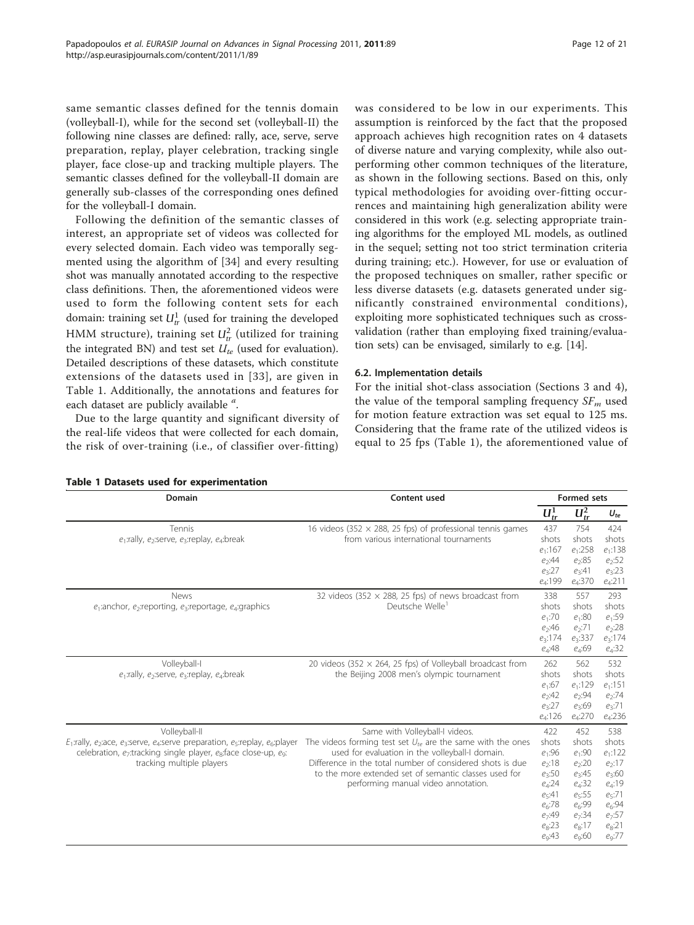same semantic classes defined for the tennis domain (volleyball-I), while for the second set (volleyball-II) the following nine classes are defined: rally, ace, serve, serve preparation, replay, player celebration, tracking single player, face close-up and tracking multiple players. The semantic classes defined for the volleyball-II domain are generally sub-classes of the corresponding ones defined for the volleyball-I domain.

Following the definition of the semantic classes of interest, an appropriate set of videos was collected for every selected domain. Each video was temporally segmented using the algorithm of [\[34](#page-20-0)] and every resulting shot was manually annotated according to the respective class definitions. Then, the aforementioned videos were used to form the following content sets for each domain: training set  $U_{tr}^1$  (used for training the developed HMM structure), training set  $U_{tr}^2$  (utilized for training the integrated BN) and test set  $U_{te}$  (used for evaluation). Detailed descriptions of these datasets, which constitute extensions of the datasets used in [[33\]](#page-20-0), are given in Table 1. Additionally, the annotations and features for each dataset are publicly available <sup>a</sup>.

Due to the large quantity and significant diversity of the real-life videos that were collected for each domain, the risk of over-training (i.e., of classifier over-fitting) was considered to be low in our experiments. This assumption is reinforced by the fact that the proposed approach achieves high recognition rates on 4 datasets of diverse nature and varying complexity, while also outperforming other common techniques of the literature, as shown in the following sections. Based on this, only typical methodologies for avoiding over-fitting occurrences and maintaining high generalization ability were considered in this work (e.g. selecting appropriate training algorithms for the employed ML models, as outlined in the sequel; setting not too strict termination criteria during training; etc.). However, for use or evaluation of the proposed techniques on smaller, rather specific or less diverse datasets (e.g. datasets generated under significantly constrained environmental conditions), exploiting more sophisticated techniques such as crossvalidation (rather than employing fixed training/evaluation sets) can be envisaged, similarly to e.g. [\[14\]](#page-19-0).

## 6.2. Implementation details

For the initial shot-class association (Sections 3 and 4), the value of the temporal sampling frequency  $SF<sub>m</sub>$  used for motion feature extraction was set equal to 125 ms. Considering that the frame rate of the utilized videos is equal to 25 fps (Table 1), the aforementioned value of

| Domain                                                                                                                                                                                                                                                                                            | Content used                                                                                                                                                                                                                                                                                                         | <b>Formed sets</b>                                                                                                         |                                                                                                                           |                                                                                                                                          |
|---------------------------------------------------------------------------------------------------------------------------------------------------------------------------------------------------------------------------------------------------------------------------------------------------|----------------------------------------------------------------------------------------------------------------------------------------------------------------------------------------------------------------------------------------------------------------------------------------------------------------------|----------------------------------------------------------------------------------------------------------------------------|---------------------------------------------------------------------------------------------------------------------------|------------------------------------------------------------------------------------------------------------------------------------------|
|                                                                                                                                                                                                                                                                                                   |                                                                                                                                                                                                                                                                                                                      | $U_{tr}^1$                                                                                                                 | $U_{tr}^2$                                                                                                                | $U_{te}$                                                                                                                                 |
| Tennis<br>$e_1$ :rally, $e_2$ :serve, $e_3$ :replay, $e_4$ :break                                                                                                                                                                                                                                 | 16 videos (352 $\times$ 288, 25 fps) of professional tennis games<br>from various international tournaments                                                                                                                                                                                                          | 437<br>shots<br>$e_1:167$<br>$e_2:44$<br>$e_3:27$<br>e <sub>4</sub> :199                                                   | 754<br>shots<br>$e_1:258$<br>$e_2:85$<br>$e_3:41$<br>$e_4:370$                                                            | 424<br>shots<br>$e_1:138$<br>$e_2:52$<br>$e_3:23$<br>$e_4$ :211                                                                          |
| <b>News</b><br>$e_1$ :anchor, $e_2$ :reporting, $e_3$ :reportage, $e_4$ :graphics                                                                                                                                                                                                                 | 32 videos (352 $\times$ 288, 25 fps) of news broadcast from<br>Deutsche Welle <sup>1</sup>                                                                                                                                                                                                                           | 338<br>shots<br>$e_1:70$<br>$e_2:46$<br>$e_3$ :174<br>$e_4$ :48                                                            | 557<br>shots<br>$e_1:80$<br>$e_2:71$<br>$e_3:337$<br>$e_4:69$                                                             | 293<br>shots<br>$e_1:59$<br>$e_2:28$<br>$e_3$ :174<br>$e_4:32$                                                                           |
| Volleyball-I<br>$e_1$ :rally, $e_2$ :serve, $e_3$ :replay, $e_4$ :break                                                                                                                                                                                                                           | 20 videos (352 $\times$ 264, 25 fps) of Volleyball broadcast from<br>the Beijing 2008 men's olympic tournament                                                                                                                                                                                                       | 262<br>shots<br>$e_1:67$<br>$e_2$ :42<br>$e_3:27$<br>$e_4$ :126                                                            | 562<br>shots<br>$e_1$ :129<br>$e_2:94$<br>$e_3:69$<br>$e_4$ :270                                                          | 532<br>shots<br>$e_1$ :151<br>$e_2:74$<br>$e_3:71$<br>$e_4$ :236                                                                         |
| Volleyball-II<br>$E_1$ :rally, e <sub>2</sub> :ace, e <sub>3</sub> :serve, e <sub>4</sub> :serve preparation, e <sub>5</sub> :replay, e <sub>6</sub> :player<br>celebration, e <sub>z</sub> :tracking single player, e <sub>8</sub> :face close-up, e <sub>9</sub> :<br>tracking multiple players | Same with Volleyball-I videos.<br>The videos forming test set $U_{t\rho}$ are the same with the ones<br>used for evaluation in the volleyball-I domain.<br>Difference in the total number of considered shots is due<br>to the more extended set of semantic classes used for<br>performing manual video annotation. | 422<br>shots<br>$e_1:96$<br>$e_2$ :18<br>$e_3:50$<br>$e_4:24$<br>$e_5:41$<br>$e_6$ :78<br>$e_7:49$<br>$e_8:23$<br>$e_9:43$ | 452<br>shots<br>$e_1:90$<br>$e_2:20$<br>$e_3:45$<br>$e_4:32$<br>$e_5:55$<br>$e_6:99$<br>$e_7:34$<br>$e_8$ :17<br>$e_9:60$ | 538<br>shots<br>$e_1$ :122<br>$e_2$ :17<br>$e_3:60$<br>$e_4:19$<br>$e$ <sub>5</sub> :71<br>$e_6:94$<br>$e_7:57$<br>$e_8$ :21<br>$e_9:77$ |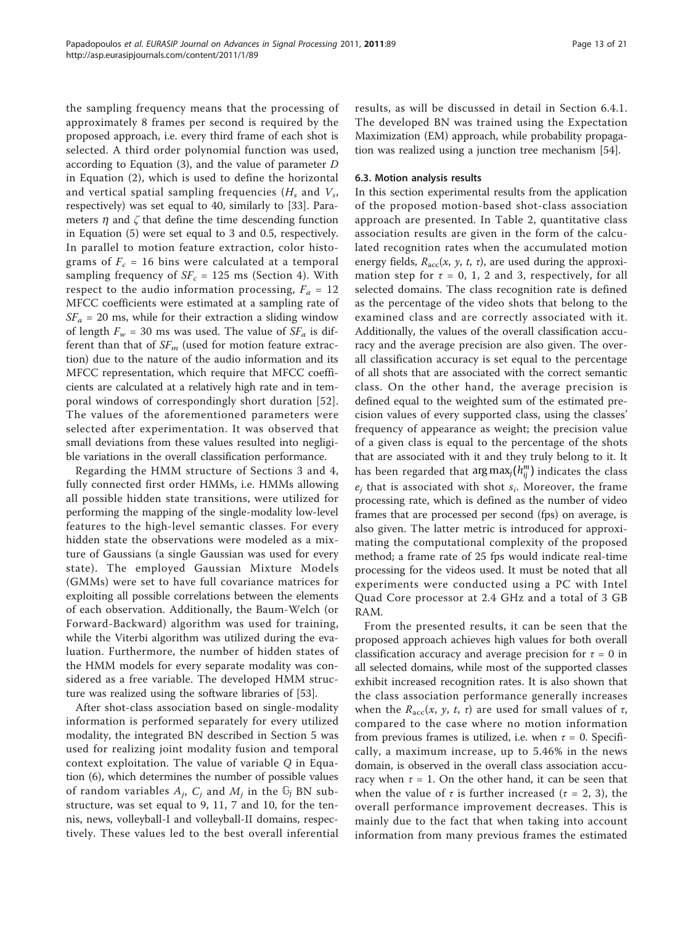the sampling frequency means that the processing of approximately 8 frames per second is required by the proposed approach, i.e. every third frame of each shot is selected. A third order polynomial function was used, according to Equation (3), and the value of parameter D in Equation (2), which is used to define the horizontal and vertical spatial sampling frequencies  $(H_s$  and  $V_s$ , respectively) was set equal to 40, similarly to [\[33](#page-20-0)]. Parameters  $\eta$  and  $\zeta$  that define the time descending function in Equation (5) were set equal to 3 and 0.5, respectively. In parallel to motion feature extraction, color histograms of  $F_c = 16$  bins were calculated at a temporal sampling frequency of  $SF_c = 125$  ms (Section 4). With respect to the audio information processing,  $F_a = 12$ MFCC coefficients were estimated at a sampling rate of  $SF_a = 20$  ms, while for their extraction a sliding window of length  $F_w = 30$  ms was used. The value of  $SF_a$  is different than that of  $SF<sub>m</sub>$  (used for motion feature extraction) due to the nature of the audio information and its MFCC representation, which require that MFCC coefficients are calculated at a relatively high rate and in temporal windows of correspondingly short duration [[52](#page-20-0)]. The values of the aforementioned parameters were selected after experimentation. It was observed that small deviations from these values resulted into negligible variations in the overall classification performance.

Regarding the HMM structure of Sections 3 and 4, fully connected first order HMMs, i.e. HMMs allowing all possible hidden state transitions, were utilized for performing the mapping of the single-modality low-level features to the high-level semantic classes. For every hidden state the observations were modeled as a mixture of Gaussians (a single Gaussian was used for every state). The employed Gaussian Mixture Models (GMMs) were set to have full covariance matrices for exploiting all possible correlations between the elements of each observation. Additionally, the Baum-Welch (or Forward-Backward) algorithm was used for training, while the Viterbi algorithm was utilized during the evaluation. Furthermore, the number of hidden states of the HMM models for every separate modality was considered as a free variable. The developed HMM structure was realized using the software libraries of [[53](#page-20-0)].

After shot-class association based on single-modality information is performed separately for every utilized modality, the integrated BN described in Section 5 was used for realizing joint modality fusion and temporal context exploitation. The value of variable  $Q$  in Equation (6), which determines the number of possible values of random variables  $A_i$ ,  $C_i$  and  $M_i$  in the  $\mathbb{G}_i$  BN substructure, was set equal to 9, 11, 7 and 10, for the tennis, news, volleyball-I and volleyball-II domains, respectively. These values led to the best overall inferential results, as will be discussed in detail in Section 6.4.1. The developed BN was trained using the Expectation Maximization (EM) approach, while probability propagation was realized using a junction tree mechanism [[54\]](#page-20-0).

#### 6.3. Motion analysis results

In this section experimental results from the application of the proposed motion-based shot-class association approach are presented. In Table [2](#page-13-0), quantitative class association results are given in the form of the calculated recognition rates when the accumulated motion energy fields,  $R_{\text{acc}}(x, y, t, \tau)$ , are used during the approximation step for  $\tau = 0$ , 1, 2 and 3, respectively, for all selected domains. The class recognition rate is defined as the percentage of the video shots that belong to the examined class and are correctly associated with it. Additionally, the values of the overall classification accuracy and the average precision are also given. The overall classification accuracy is set equal to the percentage of all shots that are associated with the correct semantic class. On the other hand, the average precision is defined equal to the weighted sum of the estimated precision values of every supported class, using the classes' frequency of appearance as weight; the precision value of a given class is equal to the percentage of the shots that are associated with it and they truly belong to it. It has been regarded that  $\arg \max_j (h_{ij}^m)$  indicates the class  $e_i$  that is associated with shot  $s_i$ . Moreover, the frame processing rate, which is defined as the number of video frames that are processed per second (fps) on average, is also given. The latter metric is introduced for approximating the computational complexity of the proposed method; a frame rate of 25 fps would indicate real-time processing for the videos used. It must be noted that all experiments were conducted using a PC with Intel Quad Core processor at 2.4 GHz and a total of 3 GB RAM.

From the presented results, it can be seen that the proposed approach achieves high values for both overall classification accuracy and average precision for  $\tau = 0$  in all selected domains, while most of the supported classes exhibit increased recognition rates. It is also shown that the class association performance generally increases when the  $R_{\text{acc}}(x, y, t, \tau)$  are used for small values of  $\tau$ , compared to the case where no motion information from previous frames is utilized, i.e. when  $\tau = 0$ . Specifically, a maximum increase, up to 5.46% in the news domain, is observed in the overall class association accuracy when  $\tau = 1$ . On the other hand, it can be seen that when the value of  $\tau$  is further increased ( $\tau = 2, 3$ ), the overall performance improvement decreases. This is mainly due to the fact that when taking into account information from many previous frames the estimated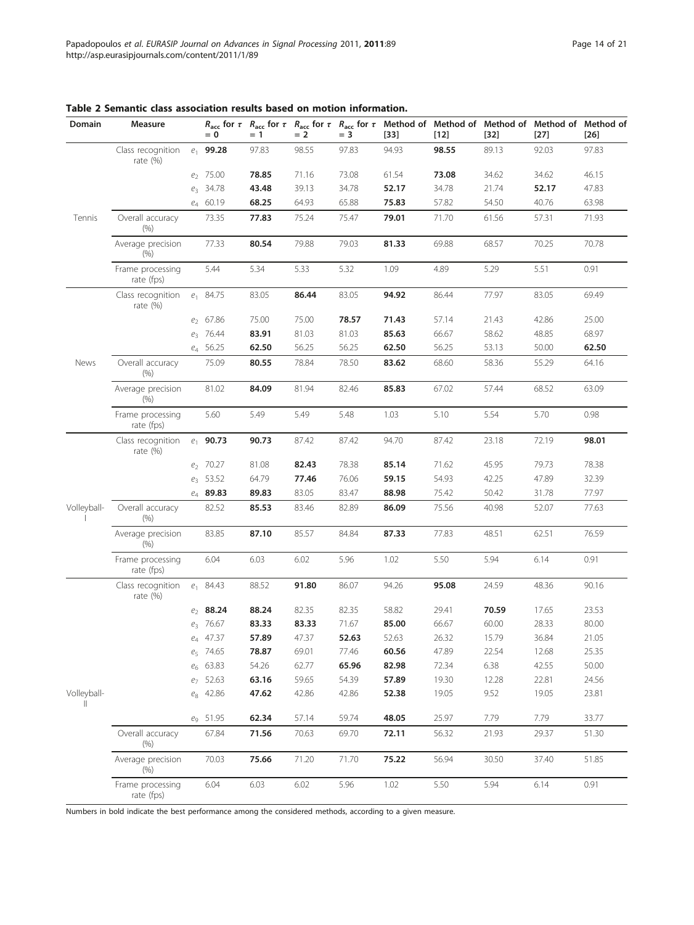| Domain           | Measure                          |                | $= 0$                | $= 1$ | $= 2$ | $=$ 3 | $[33]$ | $[12]$ | $[32]$ | $R_{\text{acc}}$ for $\tau$ $R_{\text{acc}}$ for $\tau$ $R_{\text{acc}}$ for $\tau$ $R_{\text{acc}}$ for $\tau$ Method of Method of Method of Method of Method of Method of<br>$[27]$ | $[26]$ |
|------------------|----------------------------------|----------------|----------------------|-------|-------|-------|--------|--------|--------|---------------------------------------------------------------------------------------------------------------------------------------------------------------------------------------|--------|
|                  | Class recognition<br>rate (%)    |                | $e_1$ 99.28          | 97.83 | 98.55 | 97.83 | 94.93  | 98.55  | 89.13  | 92.03                                                                                                                                                                                 | 97.83  |
|                  |                                  |                | $e_2$ 75.00          | 78.85 | 71.16 | 73.08 | 61.54  | 73.08  | 34.62  | 34.62                                                                                                                                                                                 | 46.15  |
|                  |                                  | $e_3$          | 34.78                | 43.48 | 39.13 | 34.78 | 52.17  | 34.78  | 21.74  | 52.17                                                                                                                                                                                 | 47.83  |
|                  |                                  |                | $e_4$ 60.19          | 68.25 | 64.93 | 65.88 | 75.83  | 57.82  | 54.50  | 40.76                                                                                                                                                                                 | 63.98  |
| Tennis           | Overall accuracy<br>(% )         |                | 73.35                | 77.83 | 75.24 | 75.47 | 79.01  | 71.70  | 61.56  | 57.31                                                                                                                                                                                 | 71.93  |
|                  | Average precision<br>(9/6)       |                | 77.33                | 80.54 | 79.88 | 79.03 | 81.33  | 69.88  | 68.57  | 70.25                                                                                                                                                                                 | 70.78  |
|                  | Frame processing<br>rate (fps)   |                | 5.44                 | 5.34  | 5.33  | 5.32  | 1.09   | 4.89   | 5.29   | 5.51                                                                                                                                                                                  | 0.91   |
|                  | Class recognition<br>rate $(\%)$ |                | $e_1$ 84.75          | 83.05 | 86.44 | 83.05 | 94.92  | 86.44  | 77.97  | 83.05                                                                                                                                                                                 | 69.49  |
|                  |                                  |                | $e_2$ 67.86          | 75.00 | 75.00 | 78.57 | 71.43  | 57.14  | 21.43  | 42.86                                                                                                                                                                                 | 25.00  |
|                  |                                  |                | $e_3$ 76.44          | 83.91 | 81.03 | 81.03 | 85.63  | 66.67  | 58.62  | 48.85                                                                                                                                                                                 | 68.97  |
|                  |                                  |                | $e_4$ 56.25          | 62.50 | 56.25 | 56.25 | 62.50  | 56.25  | 53.13  | 50.00                                                                                                                                                                                 | 62.50  |
| News             | Overall accuracy<br>(% )         |                | 75.09                | 80.55 | 78.84 | 78.50 | 83.62  | 68.60  | 58.36  | 55.29                                                                                                                                                                                 | 64.16  |
|                  | Average precision<br>(% )        |                | 81.02                | 84.09 | 81.94 | 82.46 | 85.83  | 67.02  | 57.44  | 68.52                                                                                                                                                                                 | 63.09  |
|                  | Frame processing<br>rate (fps)   |                | 5.60                 | 5.49  | 5.49  | 5.48  | 1.03   | 5.10   | 5.54   | 5.70                                                                                                                                                                                  | 0.98   |
|                  | Class recognition<br>rate $(\%)$ | e <sub>1</sub> | 90.73                | 90.73 | 87.42 | 87.42 | 94.70  | 87.42  | 23.18  | 72.19                                                                                                                                                                                 | 98.01  |
|                  |                                  |                | e <sub>2</sub> 70.27 | 81.08 | 82.43 | 78.38 | 85.14  | 71.62  | 45.95  | 79.73                                                                                                                                                                                 | 78.38  |
|                  |                                  |                | $e_3$ 53.52          | 64.79 | 77.46 | 76.06 | 59.15  | 54.93  | 42.25  | 47.89                                                                                                                                                                                 | 32.39  |
|                  |                                  |                | $e_4$ 89.83          | 89.83 | 83.05 | 83.47 | 88.98  | 75.42  | 50.42  | 31.78                                                                                                                                                                                 | 77.97  |
| Volleyball-      | Overall accuracy<br>(9/6)        |                | 82.52                | 85.53 | 83.46 | 82.89 | 86.09  | 75.56  | 40.98  | 52.07                                                                                                                                                                                 | 77.63  |
|                  | Average precision<br>(9/6)       |                | 83.85                | 87.10 | 85.57 | 84.84 | 87.33  | 77.83  | 48.51  | 62.51                                                                                                                                                                                 | 76.59  |
|                  | Frame processing<br>rate (fps)   |                | 6.04                 | 6.03  | 6.02  | 5.96  | 1.02   | 5.50   | 5.94   | 6.14                                                                                                                                                                                  | 0.91   |
|                  | Class recognition<br>rate $(\%)$ |                | $e_1$ 84.43          | 88.52 | 91.80 | 86.07 | 94.26  | 95.08  | 24.59  | 48.36                                                                                                                                                                                 | 90.16  |
|                  |                                  |                | $e_2$ 88.24          | 88.24 | 82.35 | 82.35 | 58.82  | 29.41  | 70.59  | 17.65                                                                                                                                                                                 | 23.53  |
|                  |                                  |                | $e_3$ 76.67          | 83.33 | 83.33 | 71.67 | 85.00  | 66.67  | 60.00  | 28.33                                                                                                                                                                                 | 80.00  |
|                  |                                  |                | e <sub>4</sub> 47.37 | 57.89 | 47.37 | 52.63 | 52.63  | 26.32  | 15.79  | 36.84                                                                                                                                                                                 | 21.05  |
|                  |                                  |                | e <sub>5</sub> 74.65 | 78.87 | 69.01 | 77.46 | 60.56  | 47.89  | 22.54  | 12.68                                                                                                                                                                                 | 25.35  |
|                  |                                  | $e_6$          | 63.83                | 54.26 | 62.77 | 65.96 | 82.98  | 72.34  | 6.38   | 42.55                                                                                                                                                                                 | 50.00  |
|                  |                                  | $e_7$          | 52.63                | 63.16 | 59.65 | 54.39 | 57.89  | 19.30  | 12.28  | 22.81                                                                                                                                                                                 | 24.56  |
| Volleyball-<br>Ш |                                  | $e_8$          | 42.86                | 47.62 | 42.86 | 42.86 | 52.38  | 19.05  | 9.52   | 19.05                                                                                                                                                                                 | 23.81  |
|                  |                                  |                | $e_9$ 51.95          | 62.34 | 57.14 | 59.74 | 48.05  | 25.97  | 7.79   | 7.79                                                                                                                                                                                  | 33.77  |
|                  | Overall accuracy<br>(% )         |                | 67.84                | 71.56 | 70.63 | 69.70 | 72.11  | 56.32  | 21.93  | 29.37                                                                                                                                                                                 | 51.30  |
|                  | Average precision<br>(% )        |                | 70.03                | 75.66 | 71.20 | 71.70 | 75.22  | 56.94  | 30.50  | 37.40                                                                                                                                                                                 | 51.85  |
|                  | Frame processing<br>rate (fps)   |                | 6.04                 | 6.03  | 6.02  | 5.96  | 1.02   | 5.50   | 5.94   | 6.14                                                                                                                                                                                  | 0.91   |

<span id="page-13-0"></span>Table 2 Semantic class association results based on motion information.

Numbers in bold indicate the best performance among the considered methods, according to a given measure.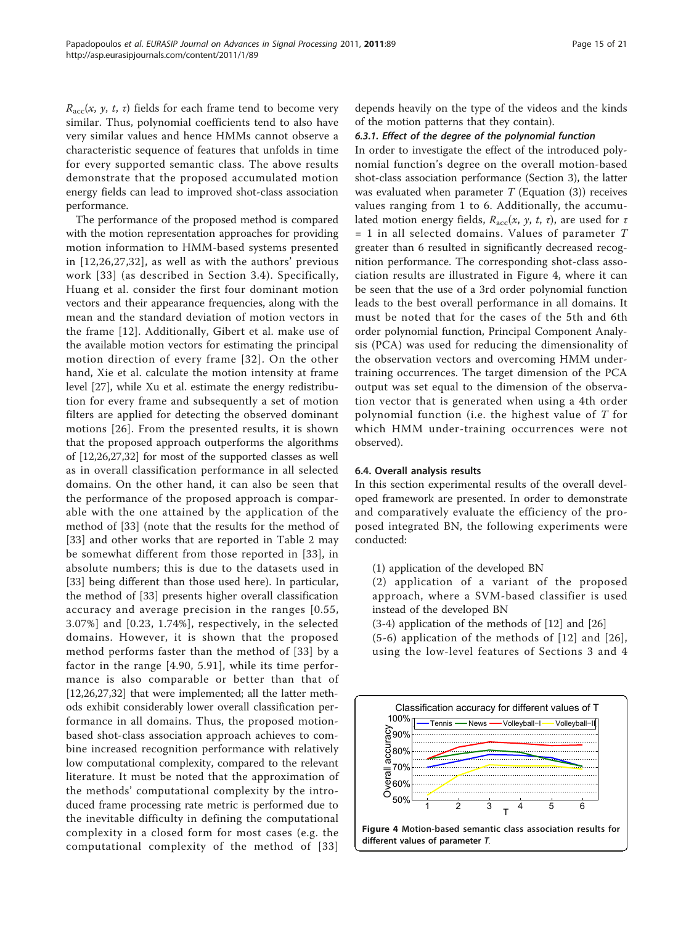$R_{\text{acc}}(x, y, t, \tau)$  fields for each frame tend to become very similar. Thus, polynomial coefficients tend to also have very similar values and hence HMMs cannot observe a characteristic sequence of features that unfolds in time for every supported semantic class. The above results demonstrate that the proposed accumulated motion energy fields can lead to improved shot-class association performance.

The performance of the proposed method is compared with the motion representation approaches for providing motion information to HMM-based systems presented in [[12,](#page-19-0)[26](#page-20-0),[27](#page-20-0),[32\]](#page-20-0), as well as with the authors' previous work [[33\]](#page-20-0) (as described in Section 3.4). Specifically, Huang et al. consider the first four dominant motion vectors and their appearance frequencies, along with the mean and the standard deviation of motion vectors in the frame [[12](#page-19-0)]. Additionally, Gibert et al. make use of the available motion vectors for estimating the principal motion direction of every frame [[32](#page-20-0)]. On the other hand, Xie et al. calculate the motion intensity at frame level [[27](#page-20-0)], while Xu et al. estimate the energy redistribution for every frame and subsequently a set of motion filters are applied for detecting the observed dominant motions [[26](#page-20-0)]. From the presented results, it is shown that the proposed approach outperforms the algorithms of [\[12,](#page-19-0)[26,27,32\]](#page-20-0) for most of the supported classes as well as in overall classification performance in all selected domains. On the other hand, it can also be seen that the performance of the proposed approach is comparable with the one attained by the application of the method of [[33\]](#page-20-0) (note that the results for the method of [[33](#page-20-0)] and other works that are reported in Table [2](#page-13-0) may be somewhat different from those reported in [[33](#page-20-0)], in absolute numbers; this is due to the datasets used in [[33\]](#page-20-0) being different than those used here). In particular, the method of [[33\]](#page-20-0) presents higher overall classification accuracy and average precision in the ranges [0.55, 3.07%] and [0.23, 1.74%], respectively, in the selected domains. However, it is shown that the proposed method performs faster than the method of [[33\]](#page-20-0) by a factor in the range [4.90, 5.91], while its time performance is also comparable or better than that of [[12,](#page-19-0)[26,27](#page-20-0),[32](#page-20-0)] that were implemented; all the latter methods exhibit considerably lower overall classification performance in all domains. Thus, the proposed motionbased shot-class association approach achieves to combine increased recognition performance with relatively low computational complexity, compared to the relevant literature. It must be noted that the approximation of the methods' computational complexity by the introduced frame processing rate metric is performed due to the inevitable difficulty in defining the computational complexity in a closed form for most cases (e.g. the computational complexity of the method of [[33](#page-20-0)]

depends heavily on the type of the videos and the kinds of the motion patterns that they contain).

## 6.3.1. Effect of the degree of the polynomial function

In order to investigate the effect of the introduced polynomial function's degree on the overall motion-based shot-class association performance (Section 3), the latter was evaluated when parameter  $T$  (Equation (3)) receives values ranging from 1 to 6. Additionally, the accumulated motion energy fields,  $R_{\text{acc}}(x, y, t, \tau)$ , are used for  $\tau$  $= 1$  in all selected domains. Values of parameter  $T$ greater than 6 resulted in significantly decreased recognition performance. The corresponding shot-class association results are illustrated in Figure 4, where it can be seen that the use of a 3rd order polynomial function leads to the best overall performance in all domains. It must be noted that for the cases of the 5th and 6th order polynomial function, Principal Component Analysis (PCA) was used for reducing the dimensionality of the observation vectors and overcoming HMM undertraining occurrences. The target dimension of the PCA output was set equal to the dimension of the observation vector that is generated when using a 4th order polynomial function (i.e. the highest value of T for which HMM under-training occurrences were not observed).

#### 6.4. Overall analysis results

In this section experimental results of the overall developed framework are presented. In order to demonstrate and comparatively evaluate the efficiency of the proposed integrated BN, the following experiments were conducted:

(1) application of the developed BN

(2) application of a variant of the proposed approach, where a SVM-based classifier is used instead of the developed BN

(3-4) application of the methods of [\[12](#page-19-0)] and [[26\]](#page-20-0)

(5-6) application of the methods of [[12\]](#page-19-0) and [[26\]](#page-20-0), using the low-level features of Sections 3 and 4

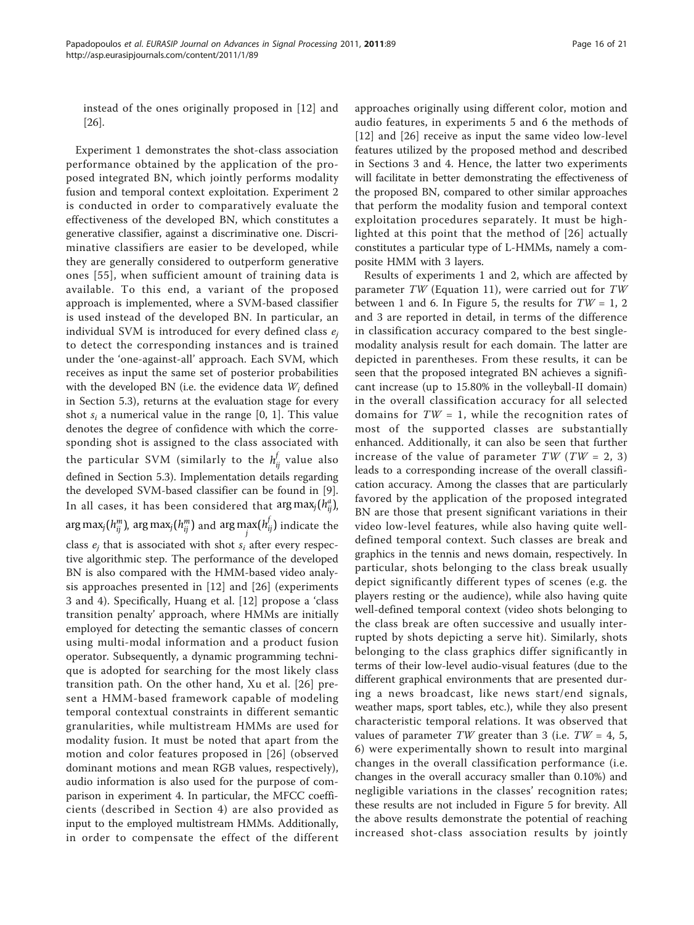instead of the ones originally proposed in [[12](#page-19-0)] and [[26\]](#page-20-0).

Experiment 1 demonstrates the shot-class association performance obtained by the application of the proposed integrated BN, which jointly performs modality fusion and temporal context exploitation. Experiment 2 is conducted in order to comparatively evaluate the effectiveness of the developed BN, which constitutes a generative classifier, against a discriminative one. Discriminative classifiers are easier to be developed, while they are generally considered to outperform generative ones [[55](#page-20-0)], when sufficient amount of training data is available. To this end, a variant of the proposed approach is implemented, where a SVM-based classifier is used instead of the developed BN. In particular, an individual SVM is introduced for every defined class  $e_i$ to detect the corresponding instances and is trained under the 'one-against-all' approach. Each SVM, which receives as input the same set of posterior probabilities with the developed BN (i.e. the evidence data  $W_i$  defined in Section 5.3), returns at the evaluation stage for every shot  $s_i$  a numerical value in the range [0, 1]. This value denotes the degree of confidence with which the corresponding shot is assigned to the class associated with the particular SVM (similarly to the  $h_{ij}^f$  value also defined in Section 5.3). Implementation details regarding the developed SVM-based classifier can be found in [\[9](#page-19-0)]. In all cases, it has been considered that arg max*j*(*ha ij* ), arg max<sub>j</sub>( $h_{ij}^m$ ), arg max<sub>j</sub>( $h_{ij}^m$ ) and arg max( $h_{ij}^f$ ) indicate the class  $e_i$  that is associated with shot  $s_i$  after every respective algorithmic step. The performance of the developed BN is also compared with the HMM-based video analysis approaches presented in [\[12](#page-19-0)] and [\[26](#page-20-0)] (experiments 3 and 4). Specifically, Huang et al. [\[12](#page-19-0)] propose a 'class transition penalty' approach, where HMMs are initially employed for detecting the semantic classes of concern using multi-modal information and a product fusion operator. Subsequently, a dynamic programming technique is adopted for searching for the most likely class transition path. On the other hand, Xu et al. [[26](#page-20-0)] present a HMM-based framework capable of modeling temporal contextual constraints in different semantic granularities, while multistream HMMs are used for modality fusion. It must be noted that apart from the motion and color features proposed in [[26](#page-20-0)] (observed dominant motions and mean RGB values, respectively), audio information is also used for the purpose of comparison in experiment 4. In particular, the MFCC coefficients (described in Section 4) are also provided as input to the employed multistream HMMs. Additionally, in order to compensate the effect of the different approaches originally using different color, motion and audio features, in experiments 5 and 6 the methods of [[12](#page-19-0)] and [[26\]](#page-20-0) receive as input the same video low-level features utilized by the proposed method and described in Sections 3 and 4. Hence, the latter two experiments will facilitate in better demonstrating the effectiveness of the proposed BN, compared to other similar approaches that perform the modality fusion and temporal context exploitation procedures separately. It must be highlighted at this point that the method of [[26](#page-20-0)] actually constitutes a particular type of L-HMMs, namely a composite HMM with 3 layers.

Results of experiments 1 and 2, which are affected by parameter  $TW$  (Equation 11), were carried out for  $TW$ between 1 and 6. In Figure [5,](#page-16-0) the results for  $TW = 1, 2$ and 3 are reported in detail, in terms of the difference in classification accuracy compared to the best singlemodality analysis result for each domain. The latter are depicted in parentheses. From these results, it can be seen that the proposed integrated BN achieves a significant increase (up to 15.80% in the volleyball-II domain) in the overall classification accuracy for all selected domains for  $TW = 1$ , while the recognition rates of most of the supported classes are substantially enhanced. Additionally, it can also be seen that further increase of the value of parameter TW (TW = 2, 3) leads to a corresponding increase of the overall classification accuracy. Among the classes that are particularly favored by the application of the proposed integrated BN are those that present significant variations in their video low-level features, while also having quite welldefined temporal context. Such classes are break and graphics in the tennis and news domain, respectively. In particular, shots belonging to the class break usually depict significantly different types of scenes (e.g. the players resting or the audience), while also having quite well-defined temporal context (video shots belonging to the class break are often successive and usually interrupted by shots depicting a serve hit). Similarly, shots belonging to the class graphics differ significantly in terms of their low-level audio-visual features (due to the different graphical environments that are presented during a news broadcast, like news start/end signals, weather maps, sport tables, etc.), while they also present characteristic temporal relations. It was observed that values of parameter TW greater than 3 (i.e.  $TW = 4, 5$ , 6) were experimentally shown to result into marginal changes in the overall classification performance (i.e. changes in the overall accuracy smaller than 0.10%) and negligible variations in the classes' recognition rates; these results are not included in Figure [5](#page-16-0) for brevity. All the above results demonstrate the potential of reaching increased shot-class association results by jointly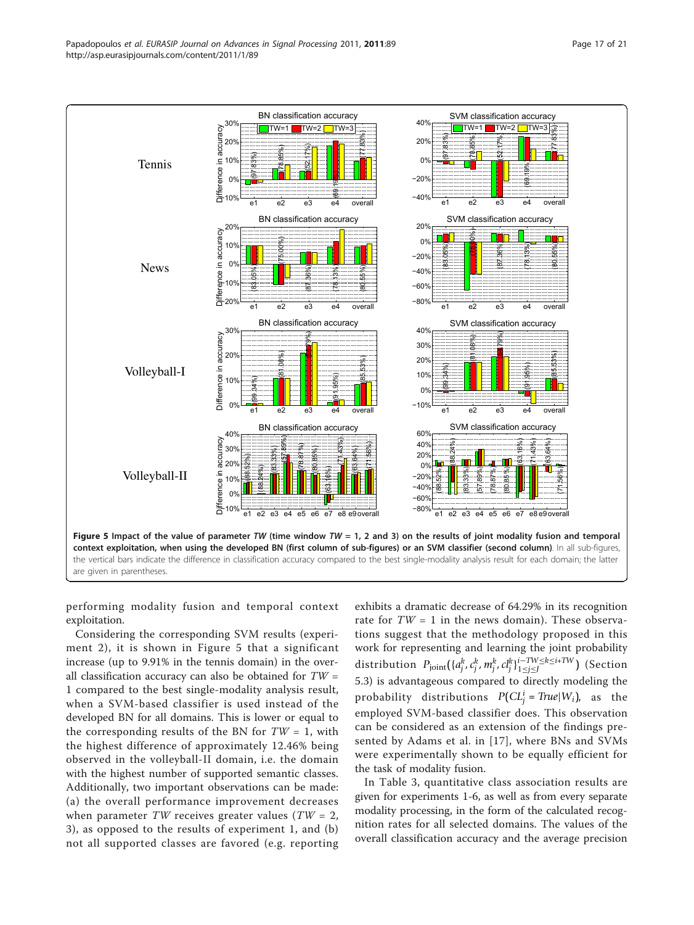<span id="page-16-0"></span>

performing modality fusion and temporal context exploitation.

Considering the corresponding SVM results (experiment 2), it is shown in Figure 5 that a significant increase (up to 9.91% in the tennis domain) in the overall classification accuracy can also be obtained for  $TW =$ 1 compared to the best single-modality analysis result, when a SVM-based classifier is used instead of the developed BN for all domains. This is lower or equal to the corresponding results of the BN for  $TW = 1$ , with the highest difference of approximately 12.46% being observed in the volleyball-II domain, i.e. the domain with the highest number of supported semantic classes. Additionally, two important observations can be made: (a) the overall performance improvement decreases when parameter TW receives greater values (TW = 2, 3), as opposed to the results of experiment 1, and (b) not all supported classes are favored (e.g. reporting

exhibits a dramatic decrease of 64.29% in its recognition rate for  $TW = 1$  in the news domain). These observations suggest that the methodology proposed in this work for representing and learning the joint probability distribution  $P_{\text{joint}}(\{a_j^k, c_j^k, m_j^k, c l_j^k\}_{1 \leq j \leq J}^{i - TW \leq k \leq i + TW})$  (Section 5.3) is advantageous compared to directly modeling the probability distributions  $P(Cl_j^i = True|W_i)$ , as the employed SVM-based classifier does. This observation can be considered as an extension of the findings presented by Adams et al. in [\[17\]](#page-19-0), where BNs and SVMs were experimentally shown to be equally efficient for the task of modality fusion.

In Table [3](#page-17-0), quantitative class association results are given for experiments 1-6, as well as from every separate modality processing, in the form of the calculated recognition rates for all selected domains. The values of the overall classification accuracy and the average precision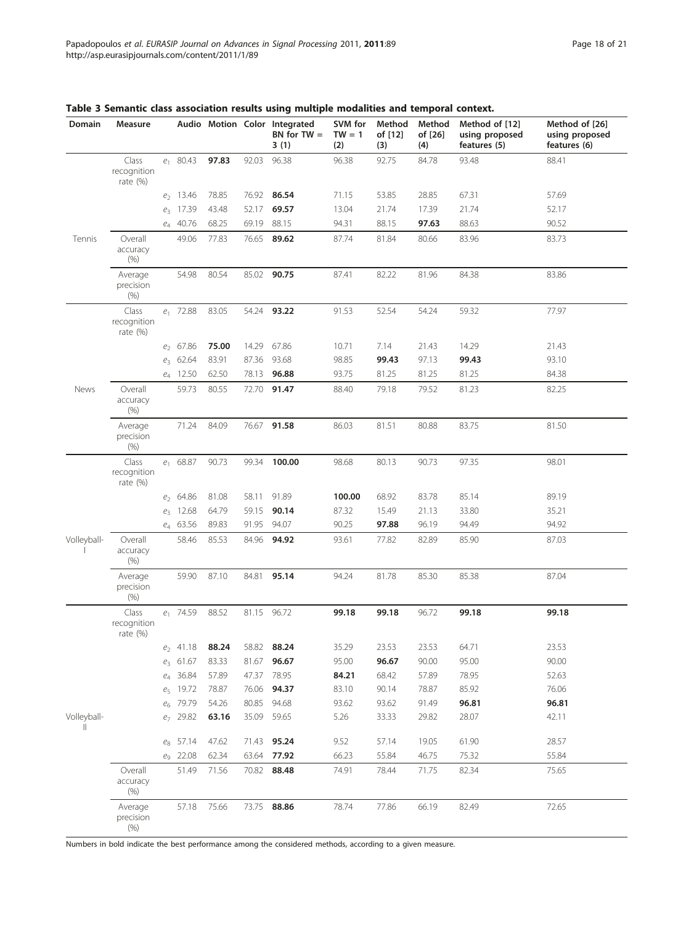| Domain                      | Measure                             |                |                      |       |       | Audio Motion Color Integrated<br>BN for $TW =$<br>3(1) | SVM for<br>$TW = 1$<br>(2) | Method<br>of [12]<br>(3) | Method<br>of [26]<br>(4) | Method of [12]<br>using proposed<br>features (5) | Method of [26]<br>using proposed<br>features (6) |
|-----------------------------|-------------------------------------|----------------|----------------------|-------|-------|--------------------------------------------------------|----------------------------|--------------------------|--------------------------|--------------------------------------------------|--------------------------------------------------|
|                             | Class<br>recognition<br>rate $(% )$ | e <sub>1</sub> | 80.43                | 97.83 | 92.03 | 96.38                                                  | 96.38                      | 92.75                    | 84.78                    | 93.48                                            | 88.41                                            |
|                             |                                     |                | $e_2$ 13.46          | 78.85 | 76.92 | 86.54                                                  | 71.15                      | 53.85                    | 28.85                    | 67.31                                            | 57.69                                            |
|                             |                                     | $e_3$          | 17.39                | 43.48 | 52.17 | 69.57                                                  | 13.04                      | 21.74                    | 17.39                    | 21.74                                            | 52.17                                            |
|                             |                                     |                | $e_4$ 40.76          | 68.25 | 69.19 | 88.15                                                  | 94.31                      | 88.15                    | 97.63                    | 88.63                                            | 90.52                                            |
| Tennis                      | Overall                             |                | 49.06                | 77.83 | 76.65 | 89.62                                                  | 87.74                      | 81.84                    | 80.66                    | 83.96                                            | 83.73                                            |
|                             | accuracy<br>(% )                    |                |                      |       |       |                                                        |                            |                          |                          |                                                  |                                                  |
|                             | Average<br>precision<br>(% )        |                | 54.98                | 80.54 |       | 85.02 90.75                                            | 87.41                      | 82.22                    | 81.96                    | 84.38                                            | 83.86                                            |
|                             | Class<br>recognition<br>rate $(\%)$ |                | $e_1$ 72.88          | 83.05 |       | 54.24 93.22                                            | 91.53                      | 52.54                    | 54.24                    | 59.32                                            | 77.97                                            |
|                             |                                     |                | $e_2$ 67.86          | 75.00 | 14.29 | 67.86                                                  | 10.71                      | 7.14                     | 21.43                    | 14.29                                            | 21.43                                            |
|                             |                                     | $e_{3}$        | 62.64                | 83.91 | 87.36 | 93.68                                                  | 98.85                      | 99.43                    | 97.13                    | 99.43                                            | 93.10                                            |
|                             |                                     |                | e <sub>4</sub> 12.50 | 62.50 | 78.13 | 96.88                                                  | 93.75                      | 81.25                    | 81.25                    | 81.25                                            | 84.38                                            |
| News                        | Overall<br>accuracy<br>(% )         |                | 59.73                | 80.55 |       | 72.70 91.47                                            | 88.40                      | 79.18                    | 79.52                    | 81.23                                            | 82.25                                            |
|                             | Average<br>precision<br>(% )        |                | 71.24                | 84.09 |       | 76.67 91.58                                            | 86.03                      | 81.51                    | 80.88                    | 83.75                                            | 81.50                                            |
|                             | Class<br>recognition<br>rate $(%)$  |                | $e_1$ 68.87          | 90.73 | 99.34 | 100.00                                                 | 98.68                      | 80.13                    | 90.73                    | 97.35                                            | 98.01                                            |
|                             |                                     | $e_2$          | 64.86                | 81.08 |       | 58.11 91.89                                            | 100.00                     | 68.92                    | 83.78                    | 85.14                                            | 89.19                                            |
|                             |                                     | $e_3$          | 12.68                | 64.79 | 59.15 | 90.14                                                  | 87.32                      | 15.49                    | 21.13                    | 33.80                                            | 35.21                                            |
|                             |                                     |                | e <sub>4</sub> 63.56 | 89.83 | 91.95 | 94.07                                                  | 90.25                      | 97.88                    | 96.19                    | 94.49                                            | 94.92                                            |
| Volleyball-                 | Overall<br>accuracy<br>(% )         |                | 58.46                | 85.53 | 84.96 | 94.92                                                  | 93.61                      | 77.82                    | 82.89                    | 85.90                                            | 87.03                                            |
|                             | Average<br>precision<br>$(\% )$     |                | 59.90                | 87.10 | 84.81 | 95.14                                                  | 94.24                      | 81.78                    | 85.30                    | 85.38                                            | 87.04                                            |
|                             | Class<br>recognition<br>rate $(\%)$ |                | $e_1$ 74.59          | 88.52 |       | 81.15 96.72                                            | 99.18                      | 99.18                    | 96.72                    | 99.18                                            | 99.18                                            |
|                             |                                     |                | $e_2$ 41.18          | 88.24 | 58.82 | 88.24                                                  | 35.29                      | 23.53                    | 23.53                    | 64.71                                            | 23.53                                            |
|                             |                                     | $e_3$          | 61.67                | 83.33 | 81.67 | 96.67                                                  | 95.00                      | 96.67                    | 90.00                    | 95.00                                            | 90.00                                            |
|                             |                                     | $e_4$          | 36.84                | 57.89 | 47.37 | 78.95                                                  | 84.21                      | 68.42                    | 57.89                    | 78.95                                            | 52.63                                            |
|                             |                                     | e <sub>5</sub> | 19.72                | 78.87 | 76.06 | 94.37                                                  | 83.10                      | 90.14                    | 78.87                    | 85.92                                            | 76.06                                            |
|                             |                                     | e <sub>6</sub> | 79.79                | 54.26 | 80.85 | 94.68                                                  | 93.62                      | 93.62                    | 91.49                    | 96.81                                            | 96.81                                            |
| Volleyball-<br>$\mathbb{I}$ |                                     | e <sub>7</sub> | 29.82                | 63.16 | 35.09 | 59.65                                                  | 5.26                       | 33.33                    | 29.82                    | 28.07                                            | 42.11                                            |
|                             |                                     | $e_8$          | 57.14                | 47.62 | 71.43 | 95.24                                                  | 9.52                       | 57.14                    | 19.05                    | 61.90                                            | 28.57                                            |
|                             |                                     | e9             | 22.08                | 62.34 | 63.64 | 77.92                                                  | 66.23                      | 55.84                    | 46.75                    | 75.32                                            | 55.84                                            |
|                             | Overall<br>accuracy<br>(% )         |                | 51.49                | 71.56 | 70.82 | 88.48                                                  | 74.91                      | 78.44                    | 71.75                    | 82.34                                            | 75.65                                            |
|                             | Average<br>precision<br>(% )        |                | 57.18                | 75.66 | 73.75 | 88.86                                                  | 78.74                      | 77.86                    | 66.19                    | 82.49                                            | 72.65                                            |

<span id="page-17-0"></span>Table 3 Semantic class association results using multiple modalities and temporal context.

Numbers in bold indicate the best performance among the considered methods, according to a given measure.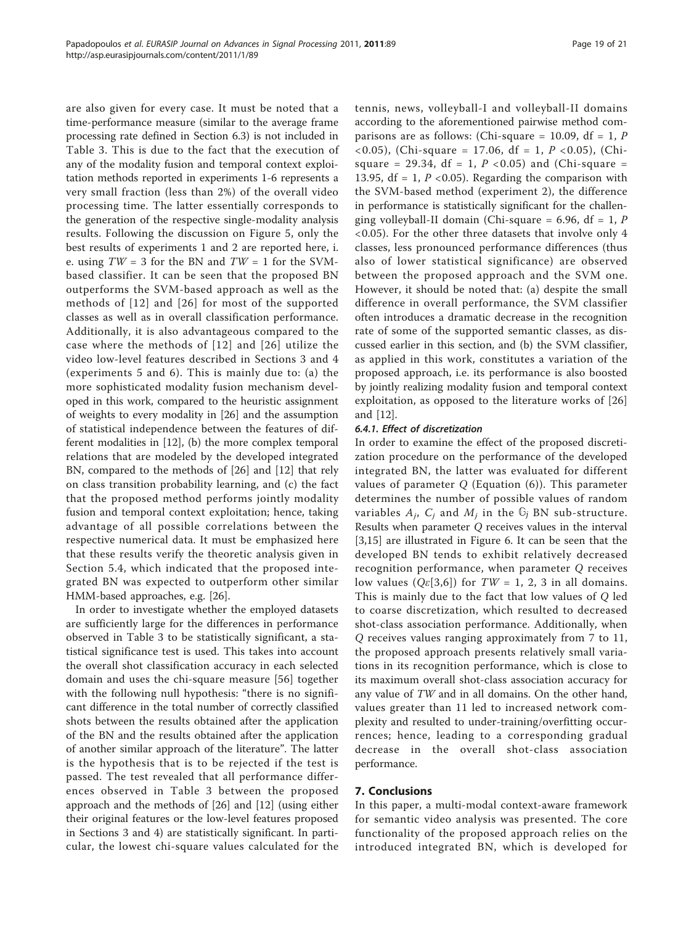are also given for every case. It must be noted that a time-performance measure (similar to the average frame processing rate defined in Section 6.3) is not included in Table [3.](#page-17-0) This is due to the fact that the execution of any of the modality fusion and temporal context exploitation methods reported in experiments 1-6 represents a very small fraction (less than 2%) of the overall video processing time. The latter essentially corresponds to the generation of the respective single-modality analysis results. Following the discussion on Figure [5,](#page-16-0) only the best results of experiments 1 and 2 are reported here, i. e. using  $TW = 3$  for the BN and  $TW = 1$  for the SVMbased classifier. It can be seen that the proposed BN outperforms the SVM-based approach as well as the methods of [[12](#page-19-0)] and [[26\]](#page-20-0) for most of the supported classes as well as in overall classification performance. Additionally, it is also advantageous compared to the case where the methods of [[12](#page-19-0)] and [[26\]](#page-20-0) utilize the video low-level features described in Sections 3 and 4 (experiments 5 and 6). This is mainly due to: (a) the more sophisticated modality fusion mechanism developed in this work, compared to the heuristic assignment of weights to every modality in [\[26](#page-20-0)] and the assumption of statistical independence between the features of different modalities in [[12\]](#page-19-0), (b) the more complex temporal relations that are modeled by the developed integrated BN, compared to the methods of [\[26](#page-20-0)] and [\[12](#page-19-0)] that rely on class transition probability learning, and (c) the fact that the proposed method performs jointly modality fusion and temporal context exploitation; hence, taking advantage of all possible correlations between the respective numerical data. It must be emphasized here that these results verify the theoretic analysis given in Section 5.4, which indicated that the proposed integrated BN was expected to outperform other similar HMM-based approaches, e.g. [[26](#page-20-0)].

In order to investigate whether the employed datasets are sufficiently large for the differences in performance observed in Table [3](#page-17-0) to be statistically significant, a statistical significance test is used. This takes into account the overall shot classification accuracy in each selected domain and uses the chi-square measure [[56\]](#page-20-0) together with the following null hypothesis: "there is no significant difference in the total number of correctly classified shots between the results obtained after the application of the BN and the results obtained after the application of another similar approach of the literature". The latter is the hypothesis that is to be rejected if the test is passed. The test revealed that all performance differences observed in Table [3](#page-17-0) between the proposed approach and the methods of [[26\]](#page-20-0) and [[12](#page-19-0)] (using either their original features or the low-level features proposed in Sections 3 and 4) are statistically significant. In particular, the lowest chi-square values calculated for the tennis, news, volleyball-I and volleyball-II domains according to the aforementioned pairwise method comparisons are as follows: (Chi-square = 10.09, df = 1,  $P$  $(0.05)$ , (Chi-square = 17.06, df = 1, P  $(0.05)$ , (Chisquare = 29.34, df = 1,  $P$  <0.05) and (Chi-square = 13.95, df = 1,  $P$  <0.05). Regarding the comparison with the SVM-based method (experiment 2), the difference in performance is statistically significant for the challenging volleyball-II domain (Chi-square = 6.96, df = 1, P <0.05). For the other three datasets that involve only 4 classes, less pronounced performance differences (thus also of lower statistical significance) are observed between the proposed approach and the SVM one. However, it should be noted that: (a) despite the small difference in overall performance, the SVM classifier often introduces a dramatic decrease in the recognition rate of some of the supported semantic classes, as discussed earlier in this section, and (b) the SVM classifier, as applied in this work, constitutes a variation of the proposed approach, i.e. its performance is also boosted by jointly realizing modality fusion and temporal context exploitation, as opposed to the literature works of [\[26](#page-20-0)] and [\[12\]](#page-19-0).

## 6.4.1. Effect of discretization

In order to examine the effect of the proposed discretization procedure on the performance of the developed integrated BN, the latter was evaluated for different values of parameter  $Q$  (Equation (6)). This parameter determines the number of possible values of random variables  $A_j$ ,  $C_j$  and  $M_j$  in the  $\mathbb{G}_j$  BN sub-structure. Results when parameter Q receives values in the interval [[3,15\]](#page-19-0) are illustrated in Figure [6](#page-19-0). It can be seen that the developed BN tends to exhibit relatively decreased recognition performance, when parameter Q receives low values ( $Q\varepsilon$ [[3,6\]](#page-19-0)) for TW = 1, 2, 3 in all domains. This is mainly due to the fact that low values of Q led to coarse discretization, which resulted to decreased shot-class association performance. Additionally, when Q receives values ranging approximately from 7 to 11, the proposed approach presents relatively small variations in its recognition performance, which is close to its maximum overall shot-class association accuracy for any value of TW and in all domains. On the other hand, values greater than 11 led to increased network complexity and resulted to under-training/overfitting occurrences; hence, leading to a corresponding gradual decrease in the overall shot-class association performance.

#### 7. Conclusions

In this paper, a multi-modal context-aware framework for semantic video analysis was presented. The core functionality of the proposed approach relies on the introduced integrated BN, which is developed for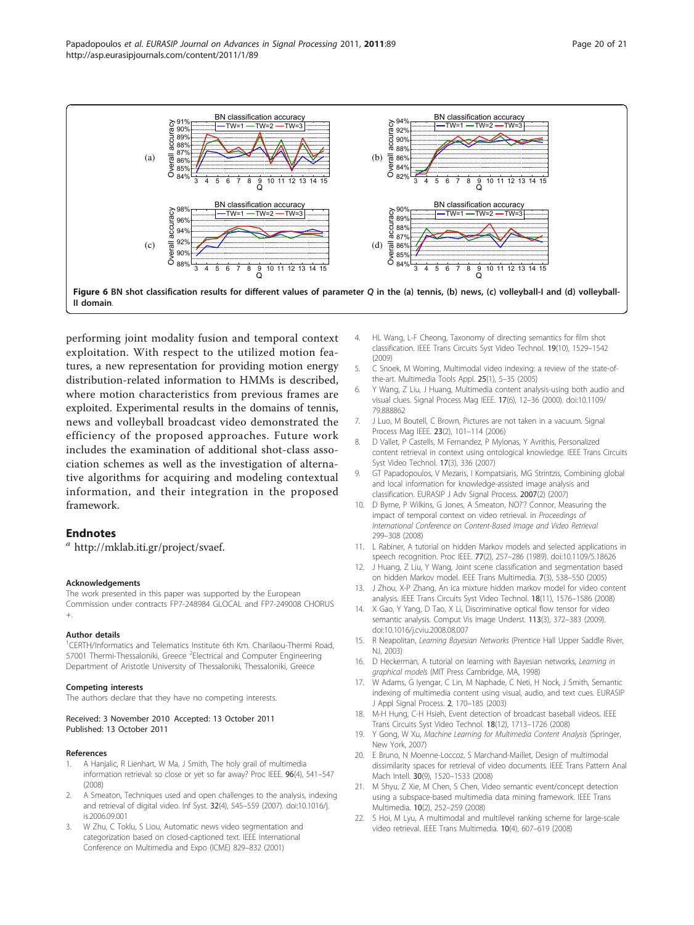<span id="page-19-0"></span>

performing joint modality fusion and temporal context exploitation. With respect to the utilized motion features, a new representation for providing motion energy distribution-related information to HMMs is described, where motion characteristics from previous frames are exploited. Experimental results in the domains of tennis, news and volleyball broadcast video demonstrated the efficiency of the proposed approaches. Future work includes the examination of additional shot-class association schemes as well as the investigation of alternative algorithms for acquiring and modeling contextual information, and their integration in the proposed framework.

#### Endnotes

<sup>a</sup> [http://mklab.iti.gr/project/svaef.](http://mklab.iti.gr/project/svaef)

#### Acknowledgements

The work presented in this paper was supported by the European Commission under contracts FP7-248984 GLOCAL and FP7-249008 CHORUS +.

#### Author details

<sup>1</sup>CERTH/Informatics and Telematics Institute 6th Km. Charilaou-Thermi Road, 57001 Thermi-Thessaloniki, Greece <sup>2</sup>Electrical and Computer Engineering Department of Aristotle University of Thessaloniki, Thessaloniki, Greece

#### Competing interests

The authors declare that they have no competing interests.

Received: 3 November 2010 Accepted: 13 October 2011 Published: 13 October 2011

#### References

- 1. A Hanjalic, R Lienhart, W Ma, J Smith, The holy grail of multimedia information retrieval: so close or yet so far away? Proc IEEE. 96(4), 541–547 (2008)
- A Smeaton, Techniques used and open challenges to the analysis, indexing and retrieval of digital video. Inf Syst. 32(4), 545–559 (2007). doi:10.1016/j. is.2006.09.001
- 3. W Zhu, C Toklu, S Liou, Automatic news video segmentation and categorization based on closed-captioned text. IEEE International Conference on Multimedia and Expo (ICME) 829–832 (2001)
- 4. HL Wang, L-F Cheong, Taxonomy of directing semantics for film shot classification. IEEE Trans Circuits Syst Video Technol. 19(10), 1529–1542 (2009)
- 5. C Snoek, M Worring, Multimodal video indexing: a review of the state-ofthe-art. Multimedia Tools Appl. 25(1), 5–35 (2005)
- 6. Y Wang, Z Liu, J Huang, Multimedia content analysis-using both audio and visual clues. Signal Process Mag IEEE. 17(6), 12–36 (2000). doi:10.1109/ 79.888862
- 7. J Luo, M Boutell, C Brown, Pictures are not taken in a vacuum. Signal Process Mag IEEE. 23(2), 101–114 (2006)
- 8. D Vallet, P Castells, M Fernandez, P Mylonas, Y Avrithis, Personalized content retrieval in context using ontological knowledge. IEEE Trans Circuits Syst Video Technol. 17(3), 336 (2007)
- 9. GT Papadopoulos, V Mezaris, I Kompatsiaris, MG Strintzis, Combining global and local information for knowledge-assisted image analysis and classification. EURASIP J Adv Signal Process. 2007(2) (2007)
- 10. D Byrne, P Wilkins, G Jones, A Smeaton, NO?'? Connor, Measuring the impact of temporal context on video retrieval. in Proceedings of International Conference on Content-Based Image and Video Retrieval 299–308 (2008)
- 11. L Rabiner, A tutorial on hidden Markov models and selected applications in speech recognition. Proc IEEE. 77(2), 257–286 (1989). doi:10.1109/5.18626
- 12. J Huang, Z Liu, Y Wang, Joint scene classification and segmentation based on hidden Markov model. IEEE Trans Multimedia. 7(3), 538–550 (2005)
- 13. J Zhou, X-P Zhang, An ica mixture hidden markov model for video content analysis. IEEE Trans Circuits Syst Video Technol. 18(11), 1576–1586 (2008)
- 14. X Gao, Y Yang, D Tao, X Li, Discriminative optical flow tensor for video semantic analysis. Comput Vis Image Underst. 113(3), 372–383 (2009). doi:10.1016/j.cviu.2008.08.007
- 15. R Neapolitan, Learning Bayesian Networks (Prentice Hall Upper Saddle River, NJ, 2003)
- 16. D Heckerman, A tutorial on learning with Bayesian networks, Learning in graphical models (MIT Press Cambridge, MA, 1998)
- 17. W Adams, G Iyengar, C Lin, M Naphade, C Neti, H Nock, J Smith, Semantic indexing of multimedia content using visual, audio, and text cues. EURASIP J Appl Signal Process. 2, 170–185 (2003)
- 18. M-H Hung, C-H Hsieh, Event detection of broadcast baseball videos. IEEE Trans Circuits Syst Video Technol. 18(12), 1713–1726 (2008)
- 19. Y Gong, W Xu, Machine Learning for Multimedia Content Analysis (Springer, New York, 2007)
- 20. E Bruno, N Moenne-Loccoz, S Marchand-Maillet[, Design of multimodal](http://www.ncbi.nlm.nih.gov/pubmed/18617712?dopt=Abstract) [dissimilarity spaces for retrieval of video documents.](http://www.ncbi.nlm.nih.gov/pubmed/18617712?dopt=Abstract) IEEE Trans Pattern Anal Mach Intell. 30(9), 1520–1533 (2008)
- 21. M Shyu, Z Xie, M Chen, S Chen, Video semantic event/concept detection using a subspace-based multimedia data mining framework. IEEE Trans Multimedia. 10(2), 252–259 (2008)
- 22. S Hoi, M Lyu, A multimodal and multilevel ranking scheme for large-scale video retrieval. IEEE Trans Multimedia. 10(4), 607–619 (2008)